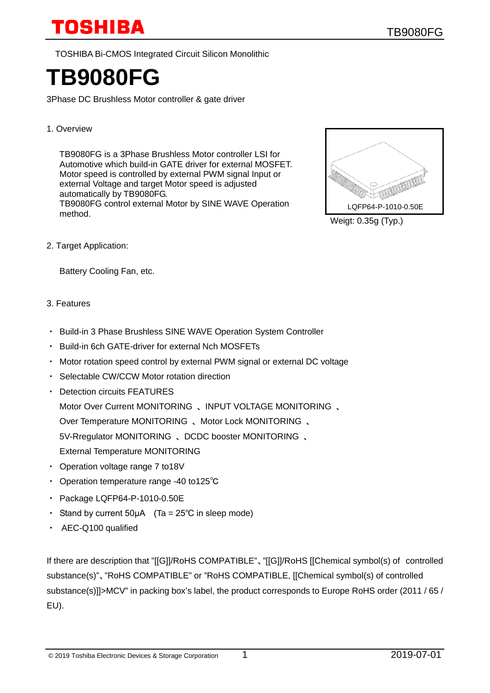TOSHIBA Bi-CMOS Integrated Circuit Silicon Monolithic

# **TB9080FG**

3Phase DC Brushless Motor controller & gate driver

### 1. Overview

 TB9080FG is a 3Phase Brushless Motor controller LSI for Automotive which build-in GATE driver for external MOSFET. Motor speed is controlled by external PWM signal Input or external Voltage and target Motor speed is adjusted automatically by TB9080FG. TB9080FG control external Motor by SINE WAVE Operation method.



Weigt: 0.35g (Typ.)

2. Target Application:

Battery Cooling Fan, etc.

#### 3. Features

- ・ Build-in 3 Phase Brushless SINE WAVE Operation System Controller
- ・ Build-in 6ch GATE-driver for external Nch MOSFETs
- ・ Motor rotation speed control by external PWM signal or external DC voltage
- ・ Selectable CW/CCW Motor rotation direction
- ・ Detection circuits FEATURES

Motor Over Current MONITORING 、INPUT VOLTAGE MONITORING 、

Over Temperature MONITORING 、Motor Lock MONITORING 、

5V-Rregulator MONITORING 、DCDC booster MONITORING 、

External Temperature MONITORING

- ・ Operation voltage range 7 to18V
- ・ Operation temperature range -40 to125℃
- ・ Package LQFP64-P-1010-0.50E
- Stand by current  $50\mu A$  (Ta =  $25^{\circ}C$  in sleep mode)
- ・ AEC-Q100 qualified

If there are description that "[[G]]/RoHS COMPATIBLE"、"[[G]]/RoHS [[Chemical symbol(s) of controlled substance(s)"、"RoHS COMPATIBLE" or "RoHS COMPATIBLE, [[Chemical symbol(s) of controlled substance(s)]]>MCV" in packing box's label, the product corresponds to Europe RoHS order (2011 / 65 / EU).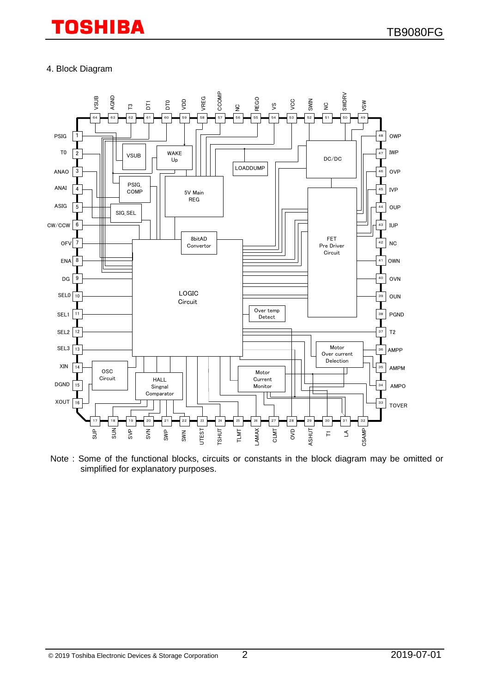### 4. Block Diagram



Note : Some of the functional blocks, circuits or constants in the block diagram may be omitted or simplified for explanatory purposes.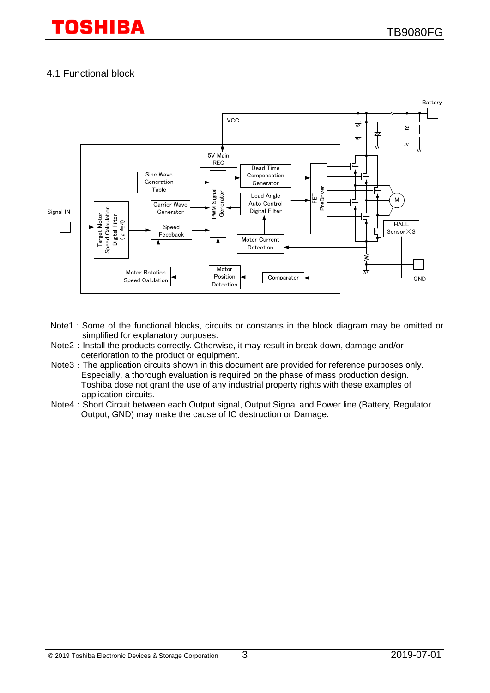## 4.1 Functional block



- Note1: Some of the functional blocks, circuits or constants in the block diagram may be omitted or simplified for explanatory purposes.
- Note2: Install the products correctly. Otherwise, it may result in break down, damage and/or deterioration to the product or equipment.
- Note3: The application circuits shown in this document are provided for reference purposes only. Especially, a thorough evaluation is required on the phase of mass production design. Toshiba dose not grant the use of any industrial property rights with these examples of application circuits.
- Note4: Short Circuit between each Output signal, Output Signal and Power line (Battery, Regulator Output, GND) may make the cause of IC destruction or Damage.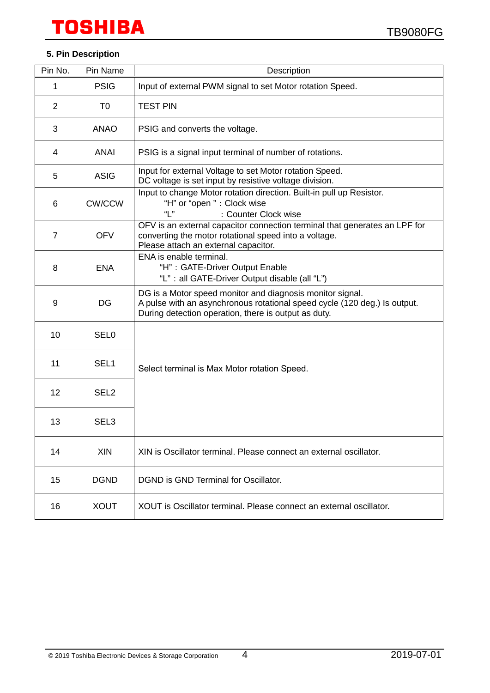## **5. Pin Description**

| Pin No.        | Pin Name         | Description                                                                                                                                                                                    |
|----------------|------------------|------------------------------------------------------------------------------------------------------------------------------------------------------------------------------------------------|
| 1              | <b>PSIG</b>      | Input of external PWM signal to set Motor rotation Speed.                                                                                                                                      |
| 2              | T <sub>0</sub>   | <b>TEST PIN</b>                                                                                                                                                                                |
| 3              | <b>ANAO</b>      | PSIG and converts the voltage.                                                                                                                                                                 |
| 4              | <b>ANAI</b>      | PSIG is a signal input terminal of number of rotations.                                                                                                                                        |
| 5              | <b>ASIG</b>      | Input for external Voltage to set Motor rotation Speed.<br>DC voltage is set input by resistive voltage division.                                                                              |
| 6              | <b>CW/CCW</b>    | Input to change Motor rotation direction. Built-in pull up Resistor.<br>"H" or "open " : Clock wise<br>"L"<br>: Counter Clock wise                                                             |
| $\overline{7}$ | <b>OFV</b>       | OFV is an external capacitor connection terminal that generates an LPF for<br>converting the motor rotational speed into a voltage.<br>Please attach an external capacitor.                    |
| 8              | <b>ENA</b>       | ENA is enable terminal.<br>"H": GATE-Driver Output Enable<br>"L" : all GATE-Driver Output disable (all "L")                                                                                    |
| 9              | DG               | DG is a Motor speed monitor and diagnosis monitor signal.<br>A pulse with an asynchronous rotational speed cycle (120 deg.) Is output.<br>During detection operation, there is output as duty. |
| 10             | SEL <sub>0</sub> |                                                                                                                                                                                                |
| 11             | SEL <sub>1</sub> | Select terminal is Max Motor rotation Speed.                                                                                                                                                   |
| 12             | SEL <sub>2</sub> |                                                                                                                                                                                                |
| 13             | SEL <sub>3</sub> |                                                                                                                                                                                                |
| 14             | <b>XIN</b>       | XIN is Oscillator terminal. Please connect an external oscillator.                                                                                                                             |
| 15             | <b>DGND</b>      | DGND is GND Terminal for Oscillator.                                                                                                                                                           |
| 16             | <b>XOUT</b>      | XOUT is Oscillator terminal. Please connect an external oscillator.                                                                                                                            |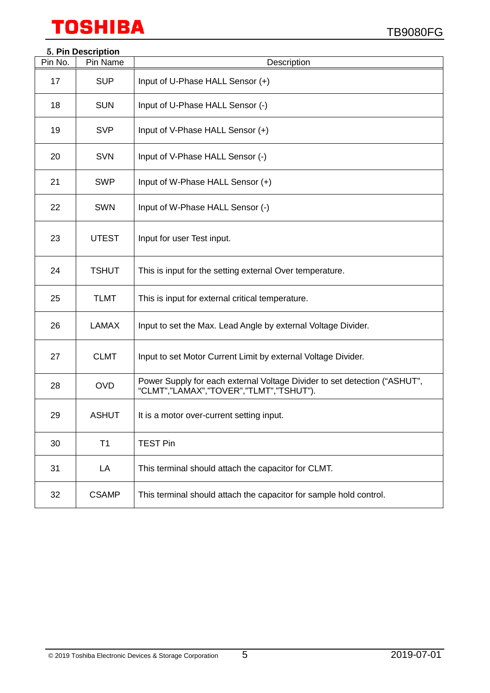### 5. **Pin Description**

| Pin No. | Pin Name     | Description                                                                                                          |
|---------|--------------|----------------------------------------------------------------------------------------------------------------------|
| 17      | <b>SUP</b>   | Input of U-Phase HALL Sensor (+)                                                                                     |
| 18      | <b>SUN</b>   | Input of U-Phase HALL Sensor (-)                                                                                     |
| 19      | <b>SVP</b>   | Input of V-Phase HALL Sensor (+)                                                                                     |
| 20      | <b>SVN</b>   | Input of V-Phase HALL Sensor (-)                                                                                     |
| 21      | <b>SWP</b>   | Input of W-Phase HALL Sensor (+)                                                                                     |
| 22      | <b>SWN</b>   | Input of W-Phase HALL Sensor (-)                                                                                     |
| 23      | <b>UTEST</b> | Input for user Test input.                                                                                           |
| 24      | <b>TSHUT</b> | This is input for the setting external Over temperature.                                                             |
| 25      | <b>TLMT</b>  | This is input for external critical temperature.                                                                     |
| 26      | <b>LAMAX</b> | Input to set the Max. Lead Angle by external Voltage Divider.                                                        |
| 27      | <b>CLMT</b>  | Input to set Motor Current Limit by external Voltage Divider.                                                        |
| 28      | <b>OVD</b>   | Power Supply for each external Voltage Divider to set detection ("ASHUT",<br>"CLMT","LAMAX","TOVER","TLMT","TSHUT"). |
| 29      | <b>ASHUT</b> | It is a motor over-current setting input.                                                                            |
| 30      | T1           | <b>TEST Pin</b>                                                                                                      |
| 31      | LA           | This terminal should attach the capacitor for CLMT.                                                                  |
| 32      | <b>CSAMP</b> | This terminal should attach the capacitor for sample hold control.                                                   |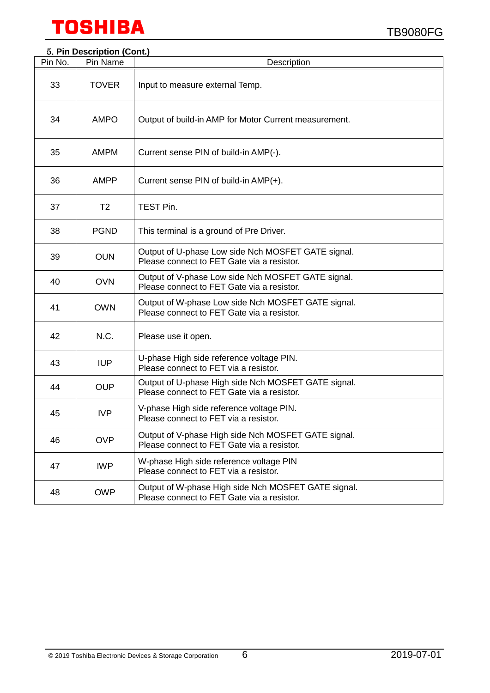| Pin No. | 5. Pin Description (Cont.)<br>Pin Name | Description                                                                                       |
|---------|----------------------------------------|---------------------------------------------------------------------------------------------------|
| 33      | <b>TOVER</b>                           | Input to measure external Temp.                                                                   |
| 34      | <b>AMPO</b>                            | Output of build-in AMP for Motor Current measurement.                                             |
| 35      | <b>AMPM</b>                            | Current sense PIN of build-in AMP(-).                                                             |
| 36      | AMPP                                   | Current sense PIN of build-in AMP(+).                                                             |
| 37      | T <sub>2</sub>                         | TEST Pin.                                                                                         |
| 38      | <b>PGND</b>                            | This terminal is a ground of Pre Driver.                                                          |
| 39      | <b>OUN</b>                             | Output of U-phase Low side Nch MOSFET GATE signal.<br>Please connect to FET Gate via a resistor.  |
| 40      | <b>OVN</b>                             | Output of V-phase Low side Nch MOSFET GATE signal.<br>Please connect to FET Gate via a resistor.  |
| 41      | <b>OWN</b>                             | Output of W-phase Low side Nch MOSFET GATE signal.<br>Please connect to FET Gate via a resistor.  |
| 42      | N.C.                                   | Please use it open.                                                                               |
| 43      | IUP                                    | U-phase High side reference voltage PIN.<br>Please connect to FET via a resistor.                 |
| 44      | <b>OUP</b>                             | Output of U-phase High side Nch MOSFET GATE signal.<br>Please connect to FET Gate via a resistor. |
| 45      | <b>IVP</b>                             | V-phase High side reference voltage PIN.<br>Please connect to FET via a resistor.                 |
| 46      | <b>OVP</b>                             | Output of V-phase High side Nch MOSFET GATE signal.<br>Please connect to FET Gate via a resistor. |
| 47      | <b>IWP</b>                             | W-phase High side reference voltage PIN<br>Please connect to FET via a resistor.                  |
| 48      | <b>OWP</b>                             | Output of W-phase High side Nch MOSFET GATE signal.<br>Please connect to FET Gate via a resistor. |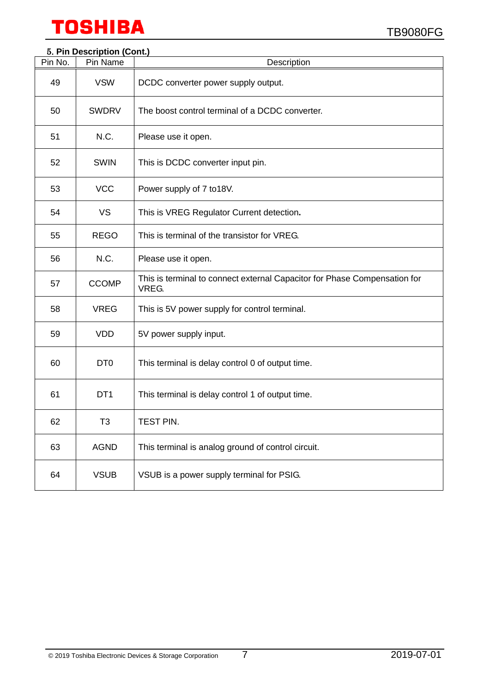| Pin No. | 5. Pin Description (Cont.)<br>Pin Name | Description                                                                        |
|---------|----------------------------------------|------------------------------------------------------------------------------------|
| 49      | <b>VSW</b>                             | DCDC converter power supply output.                                                |
| 50      | <b>SWDRV</b>                           | The boost control terminal of a DCDC converter.                                    |
| 51      | N.C.                                   | Please use it open.                                                                |
| 52      | <b>SWIN</b>                            | This is DCDC converter input pin.                                                  |
| 53      | <b>VCC</b>                             | Power supply of 7 to 18V.                                                          |
| 54      | VS                                     | This is VREG Regulator Current detection.                                          |
| 55      | <b>REGO</b>                            | This is terminal of the transistor for VREG.                                       |
| 56      | N.C.                                   | Please use it open.                                                                |
| 57      | <b>CCOMP</b>                           | This is terminal to connect external Capacitor for Phase Compensation for<br>VREG. |
| 58      | <b>VREG</b>                            | This is 5V power supply for control terminal.                                      |
| 59      | <b>VDD</b>                             | 5V power supply input.                                                             |
| 60      | DT <sub>0</sub>                        | This terminal is delay control 0 of output time.                                   |
| 61      | DT <sub>1</sub>                        | This terminal is delay control 1 of output time.                                   |
| 62      | T <sub>3</sub>                         | TEST PIN.                                                                          |
| 63      | <b>AGND</b>                            | This terminal is analog ground of control circuit.                                 |
| 64      | <b>VSUB</b>                            | VSUB is a power supply terminal for PSIG.                                          |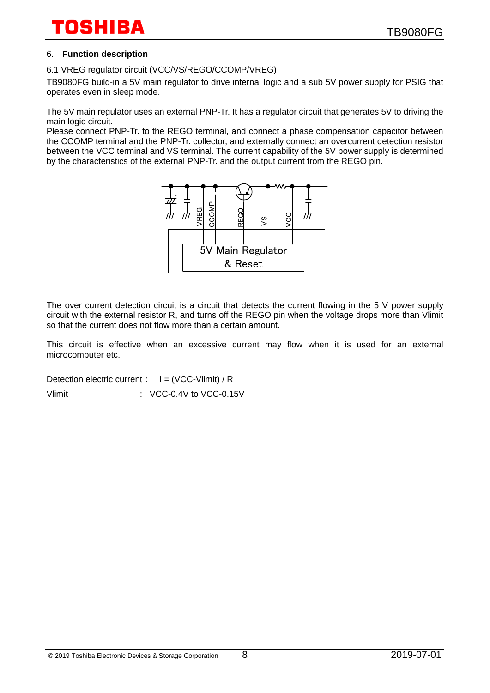### 6. **Function description**

#### 6.1 VREG regulator circuit (VCC/VS/REGO/CCOMP/VREG)

TB9080FG build-in a 5V main regulator to drive internal logic and a sub 5V power supply for PSIG that operates even in sleep mode.

The 5V main regulator uses an external PNP-Tr. It has a regulator circuit that generates 5V to driving the main logic circuit.

Please connect PNP-Tr. to the REGO terminal, and connect a phase compensation capacitor between the CCOMP terminal and the PNP-Tr. collector, and externally connect an overcurrent detection resistor between the VCC terminal and VS terminal. The current capability of the 5V power supply is determined by the characteristics of the external PNP-Tr. and the output current from the REGO pin.



The over current detection circuit is a circuit that detects the current flowing in the 5 V power supply circuit with the external resistor R, and turns off the REGO pin when the voltage drops more than Vlimit so that the current does not flow more than a certain amount.

This circuit is effective when an excessive current may flow when it is used for an external microcomputer etc.

Detection electric current:  $I = (VCC-Vlimit) / R$ Vlimit : VCC-0.4V to VCC-0.15V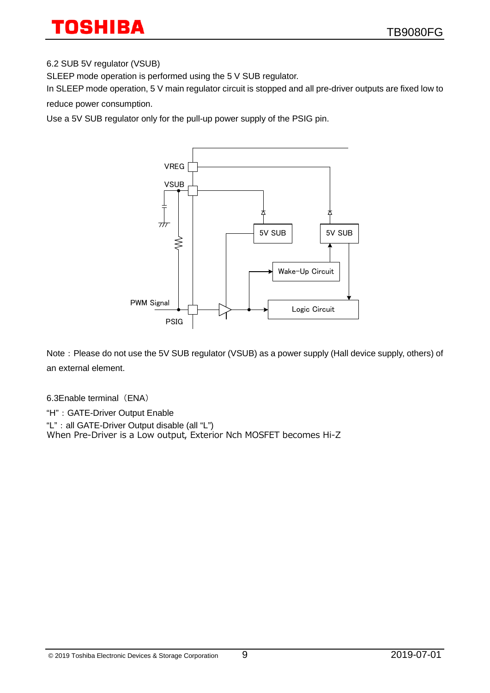### 6.2 SUB 5V regulator (VSUB)

SLEEP mode operation is performed using the 5 V SUB regulator.

In SLEEP mode operation, 5 V main regulator circuit is stopped and all pre-driver outputs are fixed low to reduce power consumption.

Use a 5V SUB regulator only for the pull-up power supply of the PSIG pin.



Note: Please do not use the 5V SUB regulator (VSUB) as a power supply (Hall device supply, others) of an external element.

6.3Enable terminal (ENA)

"H": GATE-Driver Output Enable "L" : all GATE-Driver Output disable (all "L") When Pre-Driver is a Low output, Exterior Nch MOSFET becomes Hi-Z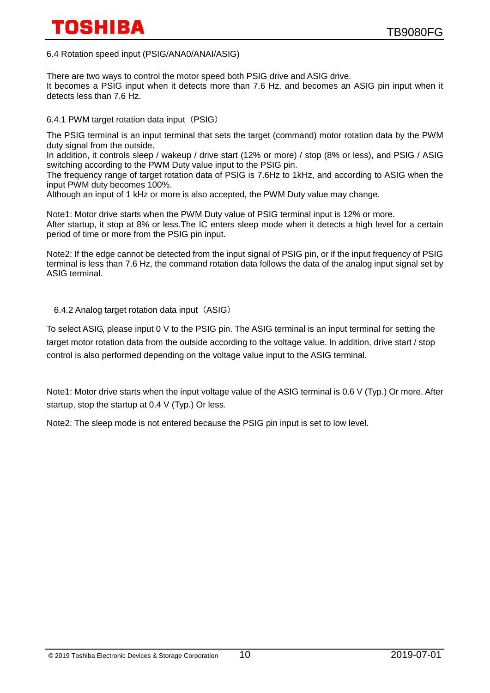6.4 Rotation speed input (PSIG/ANA0/ANAI/ASIG)

There are two ways to control the motor speed both PSIG drive and ASIG drive. It becomes a PSIG input when it detects more than 7.6 Hz, and becomes an ASIG pin input when it detects less than 7.6 Hz.

6.4.1 PWM target rotation data input (PSIG)

The PSIG terminal is an input terminal that sets the target (command) motor rotation data by the PWM duty signal from the outside.

In addition, it controls sleep / wakeup / drive start (12% or more) / stop (8% or less), and PSIG / ASIG switching according to the PWM Duty value input to the PSIG pin.

The frequency range of target rotation data of PSIG is 7.6Hz to 1kHz, and according to ASIG when the input PWM duty becomes 100%.

Although an input of 1 kHz or more is also accepted, the PWM Duty value may change.

Note1: Motor drive starts when the PWM Duty value of PSIG terminal input is 12% or more. After startup, it stop at 8% or less.The IC enters sleep mode when it detects a high level for a certain period of time or more from the PSIG pin input.

Note2: If the edge cannot be detected from the input signal of PSIG pin, or if the input frequency of PSIG terminal is less than 7.6 Hz, the command rotation data follows the data of the analog input signal set by ASIG terminal.

6.4.2 Analog target rotation data input (ASIG)

To select ASIG, please input 0 V to the PSIG pin. The ASIG terminal is an input terminal for setting the target motor rotation data from the outside according to the voltage value. In addition, drive start / stop control is also performed depending on the voltage value input to the ASIG terminal.

Note1: Motor drive starts when the input voltage value of the ASIG terminal is 0.6 V (Typ.) Or more. After startup, stop the startup at 0.4 V (Typ.) Or less.

Note2: The sleep mode is not entered because the PSIG pin input is set to low level.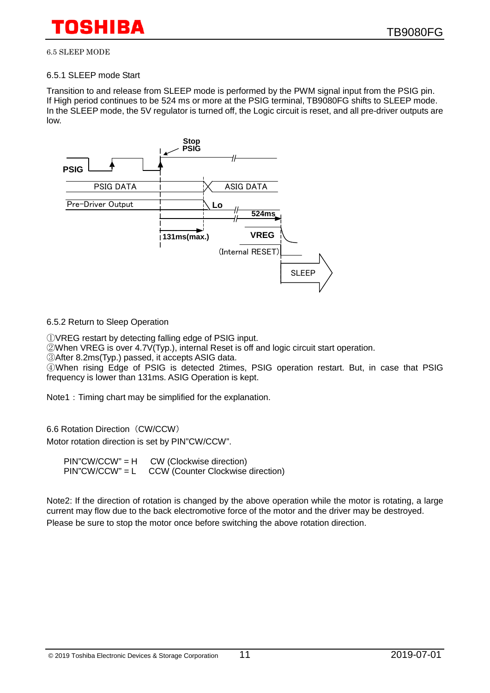## ніва

6.5 SLEEP MODE

#### 6.5.1 SLEEP mode Start

Transition to and release from SLEEP mode is performed by the PWM signal input from the PSIG pin. If High period continues to be 524 ms or more at the PSIG terminal, TB9080FG shifts to SLEEP mode. In the SLEEP mode, the 5V regulator is turned off, the Logic circuit is reset, and all pre-driver outputs are low.



#### 6.5.2 Return to Sleep Operation

①VREG restart by detecting falling edge of PSIG input.

②When VREG is over 4.7V(Typ.), internal Reset is off and logic circuit start operation.

③After 8.2ms(Typ.) passed, it accepts ASIG data.

④When rising Edge of PSIG is detected 2times, PSIG operation restart. But, in case that PSIG frequency is lower than 131ms. ASIG Operation is kept.

Note1: Timing chart may be simplified for the explanation.

6.6 Rotation Direction (CW/CCW)

Motor rotation direction is set by PIN"CW/CCW".

 PIN"CW/CCW" = H CW (Clockwise direction) PIN"CW/CCW" = L CCW (Counter Clockwise direction)

Note2: If the direction of rotation is changed by the above operation while the motor is rotating, a large current may flow due to the back electromotive force of the motor and the driver may be destroyed. Please be sure to stop the motor once before switching the above rotation direction.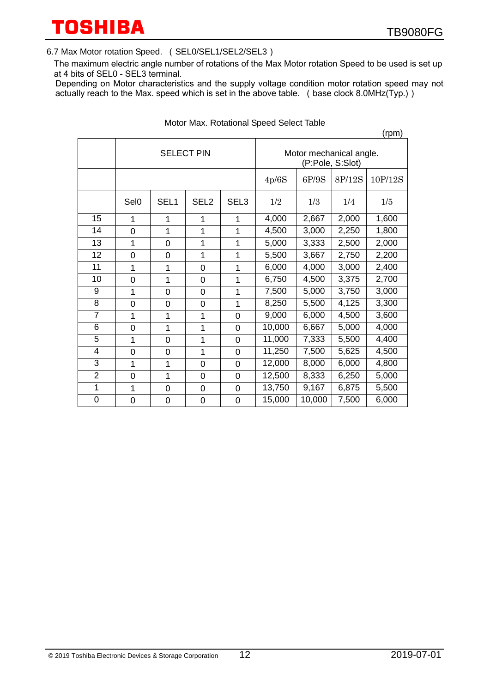#### 6.7 Max Motor rotation Speed. (SEL0/SEL1/SEL2/SEL3)

The maximum electric angle number of rotations of the Max Motor rotation Speed to be used is set up at 4 bits of SEL0 - SEL3 terminal.

Depending on Motor characteristics and the supply voltage condition motor rotation speed may not actually reach to the Max. speed which is set in the above table. (base clock 8.0MHz(Typ.))

|                |                   |                  |                  |                  |        |                         |                  | (rpm)   |
|----------------|-------------------|------------------|------------------|------------------|--------|-------------------------|------------------|---------|
|                | <b>SELECT PIN</b> |                  |                  |                  |        | Motor mechanical angle. | (P:Pole, S:Slot) |         |
|                |                   |                  |                  |                  | 4p/6S  | 6P/9S                   | 8P/12S           | 10P/12S |
|                | Sel <sub>0</sub>  | SEL <sub>1</sub> | SEL <sub>2</sub> | SEL <sub>3</sub> | 1/2    | 1/3                     | 1/4              | 1/5     |
| 15             | 1                 | 1                | 1                | 1                | 4,000  | 2,667                   | 2,000            | 1,600   |
| 14             | 0                 | 1                | 1                | 1                | 4,500  | 3,000                   | 2,250            | 1,800   |
| 13             | 1                 | $\mathbf 0$      | 1                | 1                | 5,000  | 3,333                   | 2,500            | 2,000   |
| 12             | 0                 | $\mathbf 0$      | 1                | $\mathbf 1$      | 5,500  | 3,667<br>2,750          |                  | 2,200   |
| 11             | 1                 | 1                | $\mathbf 0$      | 1                | 6,000  | 4,000                   | 3,000            | 2,400   |
| 10             | 0                 | 1                | 0                | 1                | 6,750  | 4,500                   | 3,375            | 2,700   |
| 9              | 1                 | $\overline{0}$   | 0                | 1                | 7,500  | 5,000                   | 3,750            | 3,000   |
| 8              | $\overline{0}$    | $\overline{0}$   | 0                | 1                | 8,250  | 5,500                   | 4,125            | 3,300   |
| $\overline{7}$ | 1                 | 1                | 1                | 0                | 9,000  | 6,000                   | 4,500            | 3,600   |
| 6              | 0                 | 1                | 1                | 0                | 10,000 | 6,667                   | 5,000            | 4,000   |
| $\overline{5}$ | 1                 | $\mathbf 0$      | 1                | 0                | 11,000 | 7,333                   | 5,500            | 4,400   |
| 4              | 0                 | $\mathbf 0$      | 1                | $\overline{0}$   | 11,250 | 7,500                   | 5,625            | 4,500   |
| 3              | 1                 | 1                | 0                | $\overline{0}$   | 12,000 | 8,000                   | 6,000            | 4,800   |
| $\overline{2}$ | $\overline{0}$    | 1                | $\overline{0}$   | $\overline{0}$   | 12,500 | 8,333                   | 6,250            | 5,000   |
| 1              | 1                 | $\mathbf 0$      | 0                | 0                | 13,750 | 9,167                   | 6,875            | 5,500   |
| $\overline{0}$ | 0                 | 0                | 0                | 0                | 15,000 | 10,000                  | 7,500            | 6,000   |

#### Motor Max. Rotational Speed Select Table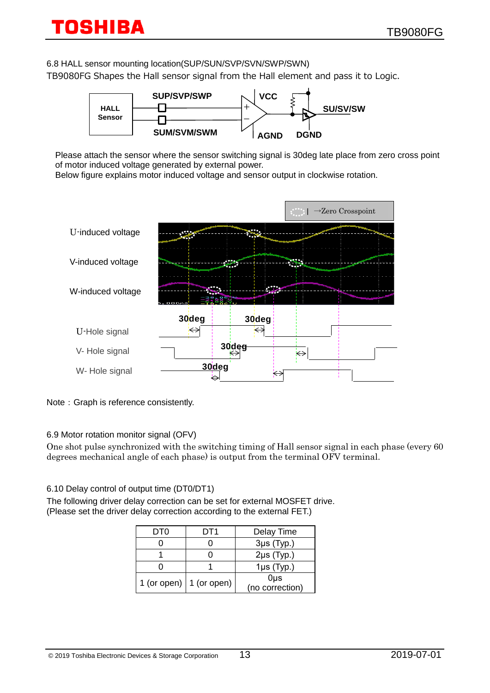6.8 HALL sensor mounting location(SUP/SUN/SVP/SVN/SWP/SWN)

TB9080FG Shapes the Hall sensor signal from the Hall element and pass it to Logic.



Please attach the sensor where the sensor switching signal is 30deg late place from zero cross point of motor induced voltage generated by external power.

Below figure explains motor induced voltage and sensor output in clockwise rotation.



Note: Graph is reference consistently.

### 6.9 Motor rotation monitor signal (OFV)

One shot pulse synchronized with the switching timing of Hall sensor signal in each phase (every 60 degrees mechanical angle of each phase) is output from the terminal OFV terminal.

#### 6.10 Delay control of output time (DT0/DT1)

The following driver delay correction can be set for external MOSFET drive. (Please set the driver delay correction according to the external FET.)

| DT0 | DT1                             | Delay Time      |
|-----|---------------------------------|-----------------|
|     |                                 | $3\mu s$ (Typ.) |
|     |                                 | $2\mu s$ (Typ.) |
|     |                                 | $1\mu s$ (Typ.) |
|     | 1 (or open) $\vert$ 1 (or open) | $0\mu$ s        |
|     |                                 | (no correction) |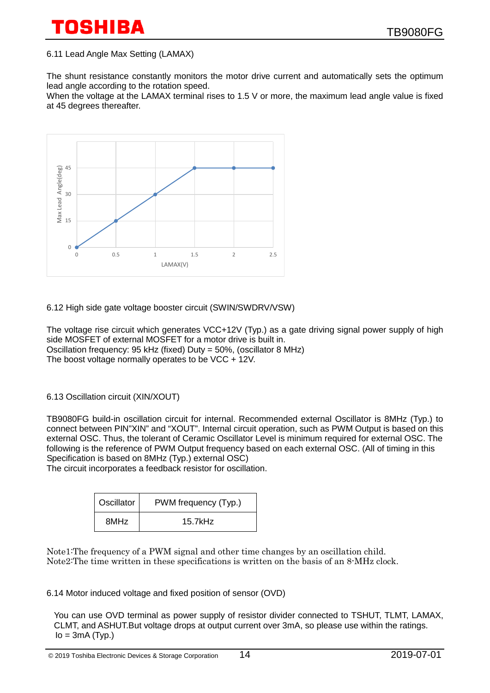### 6.11 Lead Angle Max Setting (LAMAX)

The shunt resistance constantly monitors the motor drive current and automatically sets the optimum lead angle according to the rotation speed.

When the voltage at the LAMAX terminal rises to 1.5 V or more, the maximum lead angle value is fixed at 45 degrees thereafter.



6.12 High side gate voltage booster circuit (SWIN/SWDRV/VSW)

The voltage rise circuit which generates VCC+12V (Typ.) as a gate driving signal power supply of high side MOSFET of external MOSFET for a motor drive is built in. Oscillation frequency: 95 kHz (fixed) Duty = 50%, (oscillator 8 MHz) The boost voltage normally operates to be VCC + 12V.

6.13 Oscillation circuit (XIN/XOUT)

TB9080FG build-in oscillation circuit for internal. Recommended external Oscillator is 8MHz (Typ.) to connect between PIN"XIN" and "XOUT". Internal circuit operation, such as PWM Output is based on this external OSC. Thus, the tolerant of Ceramic Oscillator Level is minimum required for external OSC. The following is the reference of PWM Output frequency based on each external OSC. (All of timing in this Specification is based on 8MHz (Typ.) external OSC)

The circuit incorporates a feedback resistor for oscillation.

| Oscillator | PWM frequency (Typ.) |
|------------|----------------------|
| 8MHz       | 15.7kHz              |

Note1:The frequency of a PWM signal and other time changes by an oscillation child. Note2:The time written in these specifications is written on the basis of an 8-MHz clock.

6.14 Motor induced voltage and fixed position of sensor (OVD)

You can use OVD terminal as power supply of resistor divider connected to TSHUT, TLMT, LAMAX, CLMT, and ASHUT.But voltage drops at output current over 3mA, so please use within the ratings.  $Io = 3mA (Typ.)$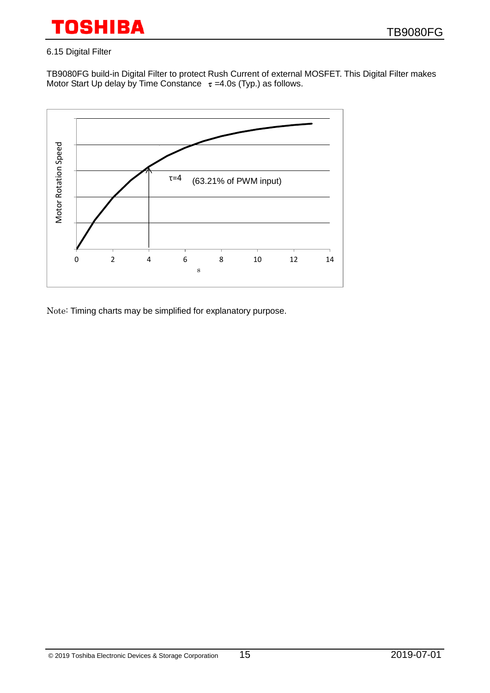### 6.15 Digital Filter

TB9080FG build-in Digital Filter to protect Rush Current of external MOSFET. This Digital Filter makes Motor Start Up delay by Time Constance  $\tau$  =4.0s (Typ.) as follows.



Note: Timing charts may be simplified for explanatory purpose.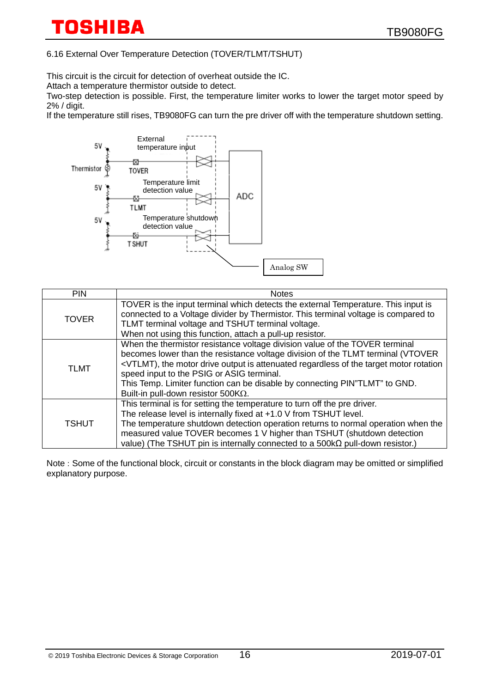### 6.16 External Over Temperature Detection (TOVER/TLMT/TSHUT)

This circuit is the circuit for detection of overheat outside the IC.

Attach a temperature thermistor outside to detect.

Two-step detection is possible. First, the temperature limiter works to lower the target motor speed by 2% / digit.

If the temperature still rises, TB9080FG can turn the pre driver off with the temperature shutdown setting.



| PIN          | <b>Notes</b>                                                                                                                                                                                                                                                                                                                                                                                                                                             |
|--------------|----------------------------------------------------------------------------------------------------------------------------------------------------------------------------------------------------------------------------------------------------------------------------------------------------------------------------------------------------------------------------------------------------------------------------------------------------------|
| <b>TOVER</b> | TOVER is the input terminal which detects the external Temperature. This input is<br>connected to a Voltage divider by Thermistor. This terminal voltage is compared to<br>TLMT terminal voltage and TSHUT terminal voltage.<br>When not using this function, attach a pull-up resistor.                                                                                                                                                                 |
| <b>TLMT</b>  | When the thermistor resistance voltage division value of the TOVER terminal<br>becomes lower than the resistance voltage division of the TLMT terminal (VTOVER<br><vtlmt), attenuated="" drive="" is="" motor="" of="" output="" regardless="" rotation<br="" target="" the="">speed input to the PSIG or ASIG terminal.<br/>This Temp. Limiter function can be disable by connecting PIN"TLMT" to GND.<br/>Built-in pull-down resistor 500KΩ.</vtlmt),> |
| <b>TSHUT</b> | This terminal is for setting the temperature to turn off the pre driver.<br>The release level is internally fixed at +1.0 V from TSHUT level.<br>The temperature shutdown detection operation returns to normal operation when the<br>measured value TOVER becomes 1 V higher than TSHUT (shutdown detection<br>value) (The TSHUT pin is internally connected to a $500k\Omega$ pull-down resistor.)                                                     |

Note: Some of the functional block, circuit or constants in the block diagram may be omitted or simplified explanatory purpose.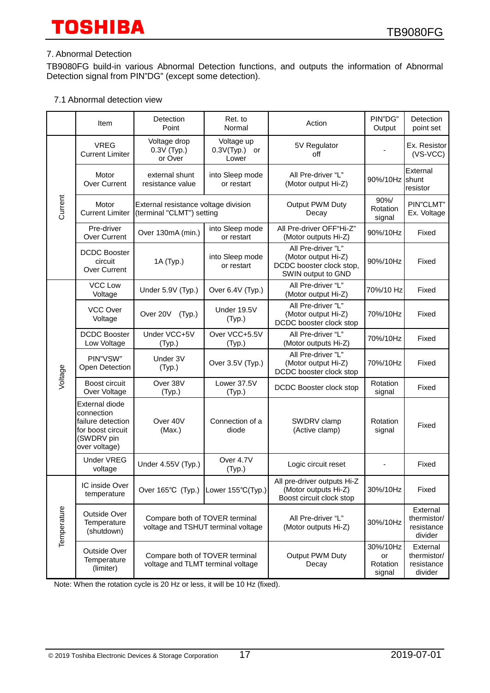### 7. Abnormal Detection

TB9080FG build-in various Abnormal Detection functions, and outputs the information of Abnormal Detection signal from PIN"DG" (except some detection).

#### 7.1 Abnormal detection view

|                    | Item                                                                                                  | Detection<br>Point                                                                                               | Ret. to<br>Normal                    | Action                                                                                      | PIN"DG"<br>Output                    | Detection<br>point set                           |
|--------------------|-------------------------------------------------------------------------------------------------------|------------------------------------------------------------------------------------------------------------------|--------------------------------------|---------------------------------------------------------------------------------------------|--------------------------------------|--------------------------------------------------|
|                    | <b>VREG</b><br><b>Current Limiter</b>                                                                 | Voltage drop<br>0.3V (Typ.)<br>or Over                                                                           | Voltage up<br>0.3V(Typ.) or<br>Lower | 5V Regulator<br>off                                                                         |                                      | Ex. Resistor<br>$(VS-VCC)$                       |
| Current<br>Voltage | Motor<br>Over Current                                                                                 | All Pre-driver "L"<br>external shunt<br>into Sleep mode<br>(Motor output Hi-Z)<br>resistance value<br>or restart |                                      | 90%/10Hz shunt                                                                              | External<br>resistor                 |                                                  |
|                    | Motor<br><b>Current Limiter</b>                                                                       | External resistance voltage division<br>(terminal "CLMT") setting                                                |                                      | Output PWM Duty<br>Decay                                                                    | 90%/<br>Rotation<br>signal           | PIN"CLMT"<br>Ex. Voltage                         |
|                    | Pre-driver<br><b>Over Current</b>                                                                     | Over 130mA (min.)                                                                                                | into Sleep mode<br>or restart        | All Pre-driver OFF"Hi-Z"<br>(Motor outputs Hi-Z)                                            | 90%/10Hz                             | Fixed                                            |
|                    | <b>DCDC Booster</b><br>circuit<br>Over Current                                                        | 1A (Typ.)                                                                                                        | into Sleep mode<br>or restart        | All Pre-driver "L"<br>(Motor output Hi-Z)<br>DCDC booster clock stop,<br>SWIN output to GND | 90%/10Hz                             | Fixed                                            |
|                    | <b>VCC Low</b><br>Voltage                                                                             | Under 5.9V (Typ.)                                                                                                | Over 6.4V (Typ.)                     | All Pre-driver "L"<br>(Motor output Hi-Z)                                                   | 70%/10 Hz                            | Fixed                                            |
|                    | VCC Over<br>Voltage                                                                                   | Over 20V<br>(Typ.)                                                                                               | Under 19.5V<br>(Typ.)                | All Pre-driver "L"<br>(Motor output Hi-Z)<br>DCDC booster clock stop                        | 70%/10Hz                             | Fixed                                            |
|                    | <b>DCDC Booster</b><br>Low Voltage                                                                    | Under VCC+5V<br>(Typ.)                                                                                           | Over VCC+5.5V<br>(Typ.)              | All Pre-driver "L"<br>(Motor outputs Hi-Z)                                                  | 70%/10Hz                             | Fixed                                            |
|                    | PIN"VSW"<br>Open Detection                                                                            | Under 3V<br>(Typ.)                                                                                               | Over 3.5V (Typ.)                     | All Pre-driver "L"<br>(Motor output Hi-Z)<br>DCDC booster clock stop                        | 70%/10Hz                             | Fixed                                            |
|                    | Boost circuit<br>Over Voltage                                                                         | Over 38V<br>(Typ.)                                                                                               | Lower 37.5V<br>(Typ.)                | DCDC Booster clock stop                                                                     | Rotation<br>signal                   | Fixed                                            |
|                    | External diode<br>connection<br>failure detection<br>for boost circuit<br>(SWDRV pin<br>over voltage) | Over 40V<br>(Max.)                                                                                               | Connection of a<br>diode             | SWDRV clamp<br>(Active clamp)                                                               | Rotation<br>signal                   | Fixed                                            |
|                    | <b>Under VREG</b><br>voltage                                                                          | Under 4.55V (Typ.)                                                                                               | Over 4.7V<br>(Typ.)                  | Logic circuit reset                                                                         |                                      | Fixed                                            |
|                    | IC inside Over<br>temperature                                                                         | Over 165°C (Typ.)                                                                                                | Lower 155°C(Typ.)                    | All pre-driver outputs Hi-Z<br>(Motor outputs Hi-Z)<br>Boost circuit clock stop             | 30%/10Hz                             | Fixed                                            |
| Temperature        | Outside Over<br>Temperature<br>(shutdown)                                                             | Compare both of TOVER terminal<br>voltage and TSHUT terminal voltage                                             |                                      | All Pre-driver "L"<br>(Motor outputs Hi-Z)                                                  | 30%/10Hz                             | External<br>thermistor/<br>resistance<br>divider |
|                    | Outside Over<br>Temperature<br>(limiter)                                                              | Compare both of TOVER terminal<br>voltage and TLMT terminal voltage                                              |                                      | Output PWM Duty<br>Decay                                                                    | 30%/10Hz<br>or<br>Rotation<br>signal | External<br>thermistor/<br>resistance<br>divider |

Note: When the rotation cycle is 20 Hz or less, it will be 10 Hz (fixed).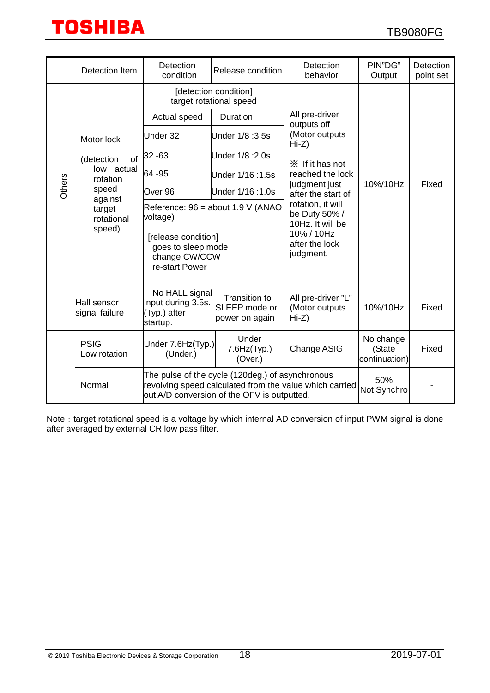|        | Detection Item                            | Detection<br>condition                                                                                                                                     | Release condition                                       | Detection<br>behavior                                                                               | PIN"DG"<br>Output                    | Detection<br>point set |
|--------|-------------------------------------------|------------------------------------------------------------------------------------------------------------------------------------------------------------|---------------------------------------------------------|-----------------------------------------------------------------------------------------------------|--------------------------------------|------------------------|
|        |                                           |                                                                                                                                                            | [detection condition]<br>target rotational speed        |                                                                                                     |                                      |                        |
|        |                                           | Actual speed                                                                                                                                               | Duration                                                | All pre-driver<br>outputs off                                                                       |                                      |                        |
|        | Motor lock                                | Under 32                                                                                                                                                   | Under 1/8:3.5s                                          | (Motor outputs<br>$Hi-Z)$                                                                           |                                      |                        |
|        | (detection<br>οf                          | 32 - 63                                                                                                                                                    | Under 1/8 : 2.0s                                        | $\times$ If it has not                                                                              |                                      |                        |
|        | low actual<br>rotation                    | 64 - 95                                                                                                                                                    | Under 1/16:1.5s                                         | reached the lock                                                                                    |                                      | Fixed                  |
| Others | speed                                     | Over 96                                                                                                                                                    | Under 1/16:1.0s                                         | judgment just<br>after the start of                                                                 | 10%/10Hz                             |                        |
|        | against<br>target<br>rotational<br>speed) | Reference: 96 = about 1.9 V (ANAO<br>voltage)<br>[release condition]<br>goes to sleep mode<br>change CW/CCW<br>re-start Power                              |                                                         | rotation, it will<br>be Duty 50% /<br>10Hz. It will be<br>10% / 10Hz<br>after the lock<br>judgment. |                                      |                        |
|        | Hall sensor<br>signal failure             | No HALL signal<br>Input during 3.5s.<br>(Typ.) after<br>startup.                                                                                           | <b>Transition to</b><br>SLEEP mode or<br>power on again | All pre-driver "L"<br>(Motor outputs<br>$Hi-Z)$                                                     | 10%/10Hz                             | Fixed                  |
|        | <b>PSIG</b><br>Low rotation               | Under 7.6Hz(Typ.)<br>(Under.)                                                                                                                              | Under<br>$7.6$ Hz $(Typ.)$<br>(Over.)                   | Change ASIG                                                                                         | No change<br>(State<br>continuation) | Fixed                  |
|        | Normal                                    | The pulse of the cycle (120deg.) of asynchronous<br>revolving speed calculated from the value which carried<br>out A/D conversion of the OFV is outputted. |                                                         |                                                                                                     | 50%<br>Not Synchro                   |                        |

Note: target rotational speed is a voltage by which internal AD conversion of input PWM signal is done after averaged by external CR low pass filter.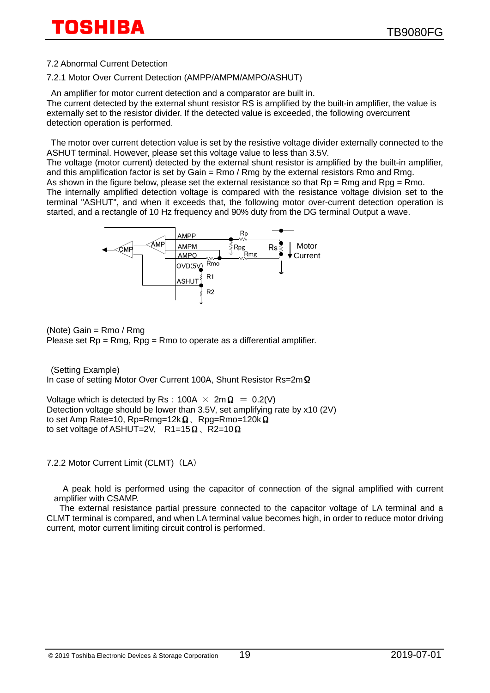#### 7.2 Abnormal Current Detection

#### 7.2.1 Motor Over Current Detection (AMPP/AMPM/AMPO/ASHUT)

An amplifier for motor current detection and a comparator are built in. The current detected by the external shunt resistor RS is amplified by the built-in amplifier, the value is externally set to the resistor divider. If the detected value is exceeded, the following overcurrent detection operation is performed.

The motor over current detection value is set by the resistive voltage divider externally connected to the ASHUT terminal. However, please set this voltage value to less than 3.5V.

The voltage (motor current) detected by the external shunt resistor is amplified by the built-in amplifier, and this amplification factor is set by Gain = Rmo / Rmg by the external resistors Rmo and Rmg. As shown in the figure below, please set the external resistance so that  $Rp = Rma$  and  $Rpa = Rmo$ . The internally amplified detection voltage is compared with the resistance voltage division set to the terminal "ASHUT", and when it exceeds that, the following motor over-current detection operation is started, and a rectangle of 10 Hz frequency and 90% duty from the DG terminal Output a wave.



(Note) Gain = Rmo / Rmg

Please set Rp = Rmg, Rpg = Rmo to operate as a differential amplifier.

(Setting Example) In case of setting Motor Over Current 100A, Shunt Resistor Rs=2mΩ

Voltage which is detected by Rs:  $100A \times 2m\Omega = 0.2(V)$ Detection voltage should be lower than 3.5V, set amplifying rate by x10 (2V) to set Amp Rate=10, Rp=Rmg=12kΩ、Rpg=Rmo=120kΩ to set voltage of ASHUT=2V, R1=15Ω、R2=10Ω

7.2.2 Motor Current Limit (CLMT) (LA)

A peak hold is performed using the capacitor of connection of the signal amplified with current amplifier with CSAMP.

The external resistance partial pressure connected to the capacitor voltage of LA terminal and a CLMT terminal is compared, and when LA terminal value becomes high, in order to reduce motor driving current, motor current limiting circuit control is performed.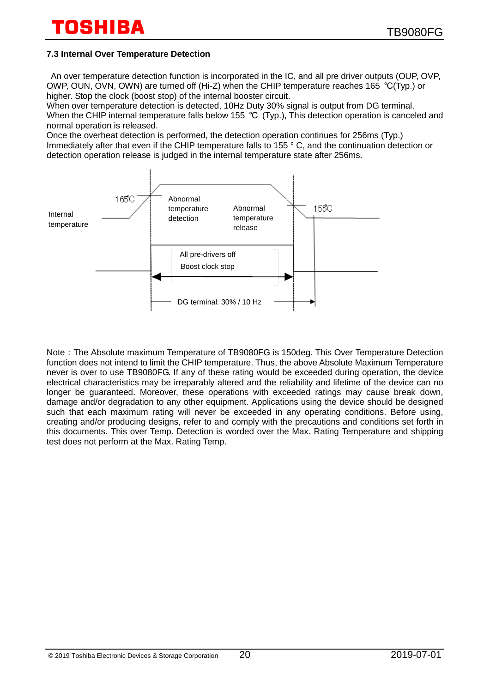### **7.3 Internal Over Temperature Detection**

 An over temperature detection function is incorporated in the IC, and all pre driver outputs (OUP, OVP, OWP, OUN, OVN, OWN) are turned off (Hi-Z) when the CHIP temperature reaches 165 ℃(Typ.) or higher. Stop the clock (boost stop) of the internal booster circuit.

When over temperature detection is detected, 10Hz Duty 30% signal is output from DG terminal. When the CHIP internal temperature falls below 155 °C (Typ.), This detection operation is canceled and normal operation is released.

Once the overheat detection is performed, the detection operation continues for 256ms (Typ.) Immediately after that even if the CHIP temperature falls to 155 ° C, and the continuation detection or detection operation release is judged in the internal temperature state after 256ms.



Note: The Absolute maximum Temperature of TB9080FG is 150deg. This Over Temperature Detection function does not intend to limit the CHIP temperature. Thus, the above Absolute Maximum Temperature never is over to use TB9080FG. If any of these rating would be exceeded during operation, the device electrical characteristics may be irreparably altered and the reliability and lifetime of the device can no longer be guaranteed. Moreover, these operations with exceeded ratings may cause break down, damage and/or degradation to any other equipment. Applications using the device should be designed such that each maximum rating will never be exceeded in any operating conditions. Before using, creating and/or producing designs, refer to and comply with the precautions and conditions set forth in this documents. This over Temp. Detection is worded over the Max. Rating Temperature and shipping test does not perform at the Max. Rating Temp.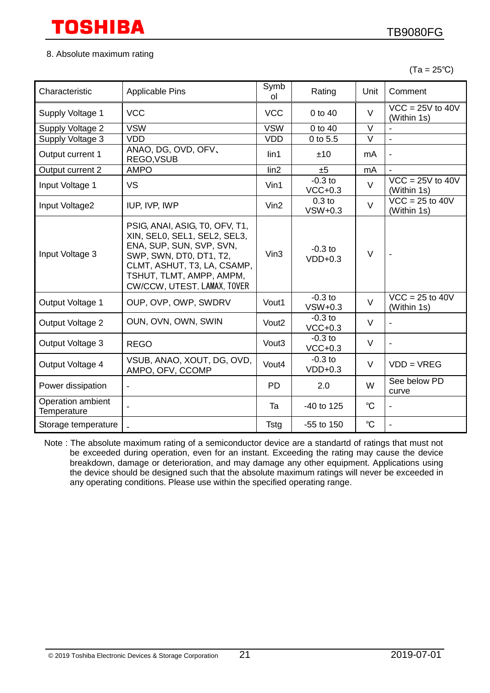#### 8. Absolute maximum rating

(Ta = 25℃)

| Characteristic                          | <b>Applicable Pins</b>                                                                                                                                                                                          | Symb<br>ol        | Rating                         | Unit                 | Comment                                     |
|-----------------------------------------|-----------------------------------------------------------------------------------------------------------------------------------------------------------------------------------------------------------------|-------------------|--------------------------------|----------------------|---------------------------------------------|
| Supply Voltage 1                        | <b>VCC</b>                                                                                                                                                                                                      | <b>VCC</b>        | 0 to 40                        | V                    | $VCC = 25V$ to 40V<br>(Within 1s)           |
| Supply Voltage 2                        | <b>VSW</b>                                                                                                                                                                                                      | <b>VSW</b>        | 0 to 40                        | $\vee$               |                                             |
| Supply Voltage 3                        | <b>VDD</b>                                                                                                                                                                                                      | <b>VDD</b>        | $0$ to 5.5                     | $\overline{\vee}$    |                                             |
| Output current 1                        | ANAO, DG, OVD, OFV,<br>REGO, VSUB                                                                                                                                                                               | lin1              | ±10                            | mA                   |                                             |
| Output current 2                        | <b>AMPO</b>                                                                                                                                                                                                     | lin2              | ±5                             | mA                   |                                             |
| Input Voltage 1                         | <b>VS</b>                                                                                                                                                                                                       | Vin1              | $-0.3$ to<br>$VCC+0.3$         | V                    | $VCC = 25V$ to 40V<br>(Within 1s)           |
| Input Voltage2                          | IUP, IVP, IWP                                                                                                                                                                                                   | $V$ in2           | 0.3 <sub>to</sub><br>$VSW+0.3$ | $\vee$               | $VCC = 25$ to 40V<br>(Within 1s)            |
| Input Voltage 3                         | PSIG, ANAI, ASIG, TO, OFV, T1,<br>XIN, SELO, SEL1, SEL2, SEL3,<br>ENA, SUP, SUN, SVP, SVN,<br>SWP, SWN, DT0, DT1, T2,<br>CLMT, ASHUT, T3, LA, CSAMP,<br>TSHUT, TLMT, AMPP, AMPM,<br>CW/CCW, UTEST, LAMAX, TOVER | Vin3              | $-0.3$ to<br>$VDD+0.3$         | $\vee$               |                                             |
| Output Voltage 1                        | OUP, OVP, OWP, SWDRV                                                                                                                                                                                            | Vout1             | $-0.3$ to<br>$VSW+0.3$         | $\vee$               | $\overline{VCC}$ = 25 to 40V<br>(Within 1s) |
| <b>Output Voltage 2</b>                 | OUN, OVN, OWN, SWIN                                                                                                                                                                                             | Vout <sub>2</sub> | $-0.3$ to<br>$VCC+0.3$         | $\vee$               |                                             |
| Output Voltage 3                        | <b>REGO</b>                                                                                                                                                                                                     | Vout3             | $-0.3$ to<br>$VCC+0.3$         | $\vee$               |                                             |
| Output Voltage 4                        | VSUB, ANAO, XOUT, DG, OVD,<br>AMPO, OFV, CCOMP                                                                                                                                                                  | Vout4             | $-0.3$ to<br>$VDD+0.3$         | $\vee$               | $VDD = VREG$                                |
| Power dissipation                       |                                                                                                                                                                                                                 | <b>PD</b>         | 2.0                            | W                    | See below PD<br>curve                       |
| Operation ambient<br><b>Temperature</b> |                                                                                                                                                                                                                 | Ta                | $-40$ to 125                   | $^{\circ}C$          |                                             |
| Storage temperature                     |                                                                                                                                                                                                                 | <b>Tstg</b>       | $-55$ to 150                   | $\mathrm{C}^{\circ}$ |                                             |

Note : The absolute maximum rating of a semiconductor device are a standartd of ratings that must not be exceeded during operation, even for an instant. Exceeding the rating may cause the device breakdown, damage or deterioration, and may damage any other equipment. Applications using the device should be designed such that the absolute maximum ratings will never be exceeded in any operating conditions. Please use within the specified operating range.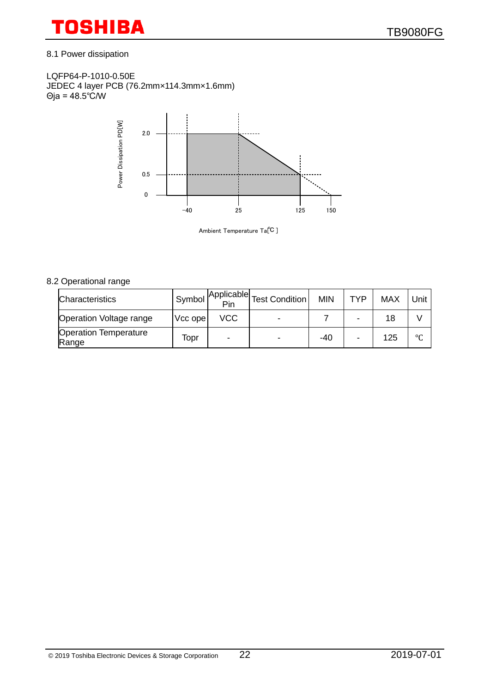## 8.1 Power dissipation

LQFP64-P-1010-0.50E JEDEC 4 layer PCB (76.2mm×114.3mm×1.6mm) Θja = 48.5℃/W



Ambient Temperature Ta[℃ ]

### 8.2 Operational range

| Characteristics                       |         | Pin | $Symbol$ Applicable Test Condition | <b>MIN</b> | <b>TYP</b> | <b>MAX</b> | Unit    |
|---------------------------------------|---------|-----|------------------------------------|------------|------------|------------|---------|
| Operation Voltage range               | Vcc ope | VCC |                                    |            |            | 18         |         |
| <b>Operation Temperature</b><br>Range | Topr    |     |                                    | -40        |            | 125        | $\circ$ |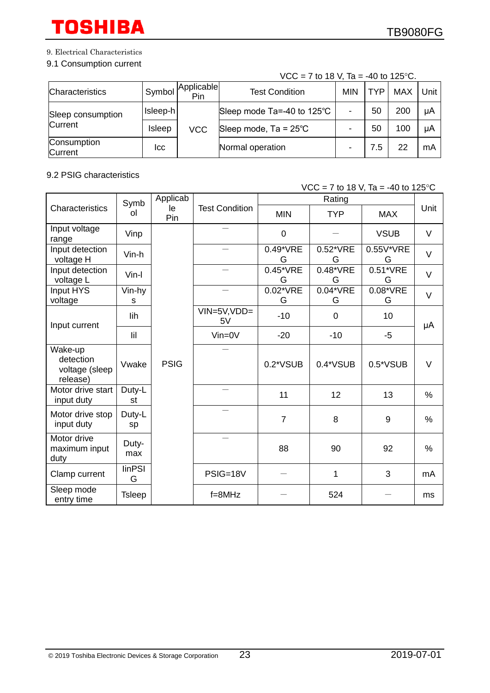#### 9. Electrical Characteristics

#### 9.1 Consumption current

### VCC = 7 to 18 V, Ta = -40 to 125 °C.

| <b>Characteristics</b>              | Symbol   | Applicable<br>Pin | <b>Test Condition</b>          | <b>MIN</b> | <b>TYP</b> | MAX | Unit I |
|-------------------------------------|----------|-------------------|--------------------------------|------------|------------|-----|--------|
| Sleep consumption<br><b>Current</b> | Isleep-h |                   | Sleep mode Ta=-40 to 125°C     |            | 50         | 200 | μA     |
|                                     | Isleep   | <b>VCC</b>        | Sleep mode, $Ta = 25^{\circ}C$ |            | 50         | 100 | μA     |
| Consumption<br>Current              | lcc      |                   | Normal operation               |            | 7.5        | 22  | mA     |

9.2 PSIG characteristics

VCC = 7 to 18 V, Ta = -40 to 125 °C Characteristics Symb ol Applicab le Pin Test Condition Rating MIN TYP MAX Unit Input voltage riput voltage Vinp PSIG  $\begin{array}{c|c|c|c|c|c} \hline \begin{array}{ccc} - & & & \\ \end{array} & 0 & \begin{array}{ccc} & - & & \\ \end{array} & - & \begin{array}{ccc} & \text{VSUB} & \end{array} & \end{array}$ Input detection<br>voltage H voltage H Vin-h - 0.49\*VRE G 0.52\*VRE G 0.55V\*VRE v vre<br>G v v Input detection<br>voltage L voltage L Vin-l - 0.45\*VRE G 0.48\*VRE G 0.51\*VRE IVRE | V Input HYS voltage Vin-hy s - 0.02\*VRE G 0.04\*VRE G 0.08\*VRE <sup>3\*VRE</sup> V<br>G Input current  $\overline{\begin{array}{ccc} \text{Iih} & & \text{VIN=5V, VDD=} \\ & & 5 \text{V} \end{array}}$  $5V$   $-10$   $0$   $10$ μA Iil Vin=0V -20 -10 -5 Wake-up detection voltage (sleep release) Vwake - 0.2\*VSUB | 0.4\*VSUB | 0.5\*VSUB | V Motor drive start input duty Duty-L st  $-$  11 12 13 13 Motor drive stop input duty Duty-L sp - 7 8 9 % Motor drive maximum input duty Dutymax - 88 90 92 %  $Clamp current$   $\begin{array}{|l|l|}$   $\text{linPSI} & \text{G} \end{array}$ | PSIG=18V | - | 1 | 3 | mA<br>| PSIG=18V | - | 1 | 3 Sleep mode<br>entry time entry time Tsleep f=8MHz - <sup>524</sup> - ms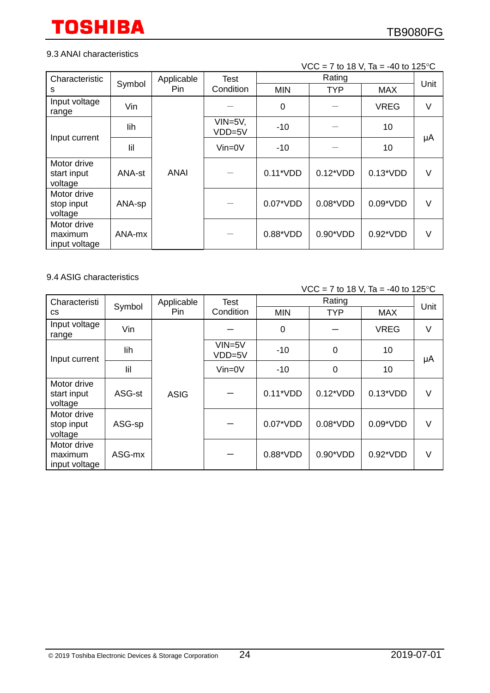### 9.3 ANAI characteristics

#### $VCC = 7$  to 18 V, Ta = -40 to 125 $^{\circ}$ C

| Characteristic                          | Symbol | Applicable | Test                   |             |            | Unit        |        |
|-----------------------------------------|--------|------------|------------------------|-------------|------------|-------------|--------|
| s                                       |        | Pin        | Condition              | <b>MIN</b>  | <b>TYP</b> | <b>MAX</b>  |        |
| Input voltage<br>range                  | Vin    |            |                        | $\mathbf 0$ |            | <b>VREG</b> | V      |
|                                         | lih    |            | $VIN = 5V$ ,<br>VDD=5V | $-10$       |            | 10          |        |
| Input current                           | lil    |            | $Vin=0V$               | $-10$       |            | 10          | μA     |
| Motor drive<br>start input<br>voltage   | ANA-st | ANAI       |                        | 0.11*VDD    | $0.12*VDD$ | $0.13*VDD$  | $\vee$ |
| Motor drive<br>stop input<br>voltage    | ANA-sp |            |                        | $0.07*VDD$  | $0.08*VDD$ | $0.09*VDD$  | V      |
| Motor drive<br>maximum<br>input voltage | ANA-mx |            |                        | 0.88*VDD    | $0.90*VDD$ | $0.92*VDD$  | $\vee$ |

#### 9.4 ASIG characteristics

#### $VCC = 7$  to 18 V, Ta = -40 to 125 °C Characteristi cs Symbol Applicable Pin Test **Condition** Rating<br>
MIN TYP MAX Unit Input voltage range Vin ASIG  $0 \qquad | \qquad - \qquad | \quad \text{VREG} \quad | \quad \text{V}$ Input current  $I$ ih  $\bigcup_{V,D,D} F_V$  $VIDD=5V$  -10 0 10 μA Iil Vin=0V -10 0 10 Motor drive start input voltage  $\textsf{ASG-st}$  |  $\textsf{ASIG}$  |  $-$  | 0.11\*VDD | 0.12\*VDD | 0.13\*VDD | V Motor drive stop input voltage  $\text{ASG-sp}$   $\begin{vmatrix} - & 0.07 \cdot \text{VDD} & 0.08 \cdot \text{VDD} & 0.09 \cdot \text{VDD} & \text{V} \end{vmatrix}$ Motor drive maximum input voltage ASG-mx - 0.88\*VDD 0.90\*VDD 0.92\*VDD V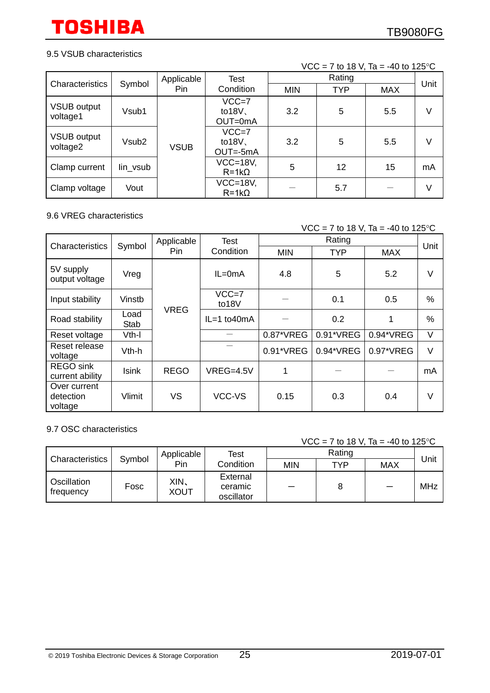### 9.5 VSUB characteristics

### $VCC = 7$  to 18 V, Ta = -40 to 125 °C

| Characteristics                |                   | Applicable  | Test                                  |            | Rating     | Unit       |    |
|--------------------------------|-------------------|-------------|---------------------------------------|------------|------------|------------|----|
|                                | Symbol            | Pin.        | Condition                             | <b>MIN</b> | <b>TYP</b> | <b>MAX</b> |    |
| <b>VSUB output</b><br>voltage1 | Vsub1             |             | $VCC = 7$<br>to $18V$<br>OUT=0mA      | 3.2        | 5          | 5.5        | V  |
| VSUB output<br>voltage2        | Vsub <sub>2</sub> | <b>VSUB</b> | $VCC = 7$<br>to $18V$<br>$OUT = -5mA$ | 3.2        | 5          | 5.5        | V  |
| Clamp current                  | lin_vsub          |             | $VCC=18V$ ,<br>$R = 1k\Omega$         | 5          | 12         | 15         | mA |
| Clamp voltage                  | Vout              |             | $VCC=18V$ ,<br>$R = 1k\Omega$         |            | 5.7        |            | V  |

### 9.6 VREG characteristics

### $VCC = 7$  to 18 V, Ta = -40 to 125 °C

| Characteristics                      | Symbol            | Applicable  | Test             | Rating     |            |            |      |
|--------------------------------------|-------------------|-------------|------------------|------------|------------|------------|------|
|                                      |                   | Pin         | Condition        | <b>MIN</b> | <b>TYP</b> | <b>MAX</b> | Unit |
| 5V supply<br>output voltage          | Vreg              |             | $IL = 0mA$       | 4.8        | 5          | 5.2        | V    |
| Input stability                      | Vinstb            | <b>VREG</b> | $VCC=7$<br>to18V |            | 0.1        | 0.5        | %    |
| Road stability                       | Load<br>Stab      |             | $IL=1$ to 40 m A |            | 0.2        |            | %    |
| Reset voltage                        | V <sub>th-I</sub> |             |                  | 0.87*VREG  | 0.91*VREG  | 0.94*VREG  | V    |
| Reset release<br>voltage             | V <sub>th-h</sub> |             |                  | 0.91*VREG  | 0.94*VREG  | 0.97*VREG  | V    |
| <b>REGO</b> sink<br>current ability  | <b>Isink</b>      | <b>REGO</b> | $VREG=4.5V$      | 1          |            |            | mA   |
| Over current<br>detection<br>voltage | Vlimit            | <b>VS</b>   | VCC-VS           | 0.15       | 0.3        | 0.4        | V    |

### 9.7 OSC characteristics

### VCC = 7 to 18 V, Ta = -40 to 125 °C

|                          |        | Applicable          | Test                              |            | Rating |            |      |
|--------------------------|--------|---------------------|-----------------------------------|------------|--------|------------|------|
| Characteristics          | Symbol | Pin                 | Condition                         | <b>MIN</b> | TYP    | <b>MAX</b> | Unit |
| Oscillation<br>frequency | Fosc   | XIN.<br><b>XOUT</b> | External<br>ceramic<br>oscillator |            |        |            | MHz  |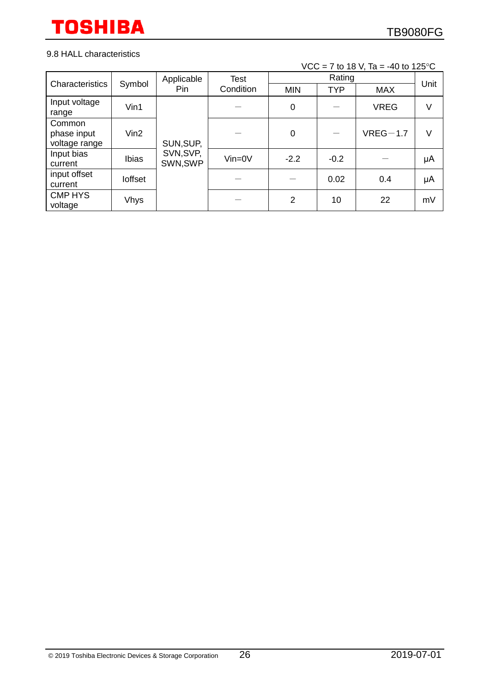### 9.8 HALL characteristics

| $VCC = 7$ to 18 V, Ta = -40 to 125 °C |  |  |
|---------------------------------------|--|--|
|---------------------------------------|--|--|

| Symbol<br>Characteristics              |              | Applicable            | <b>Test</b>  |                | Rating     |             |      |  |
|----------------------------------------|--------------|-----------------------|--------------|----------------|------------|-------------|------|--|
|                                        |              | Pin                   | Condition    | <b>MIN</b>     | <b>TYP</b> | <b>MAX</b>  | Unit |  |
| Input voltage<br>range                 | Vin1         |                       |              | 0              |            | <b>VREG</b> | V    |  |
| Common<br>phase input<br>voltage range | $V$ in2      | SUN, SUP,             |              | $\mathbf 0$    |            | $VREG-1.7$  | V    |  |
| Input bias<br>current                  | <b>Ibias</b> | SVN, SVP,<br>SWN, SWP | $V$ in=0 $V$ | $-2.2$         | $-0.2$     |             | μA   |  |
| input offset<br>current                | loffset      |                       |              |                | 0.02       | 0.4         | μA   |  |
| <b>CMP HYS</b><br>voltage              | <b>Vhys</b>  |                       |              | $\overline{2}$ | 10         | 22          | mV   |  |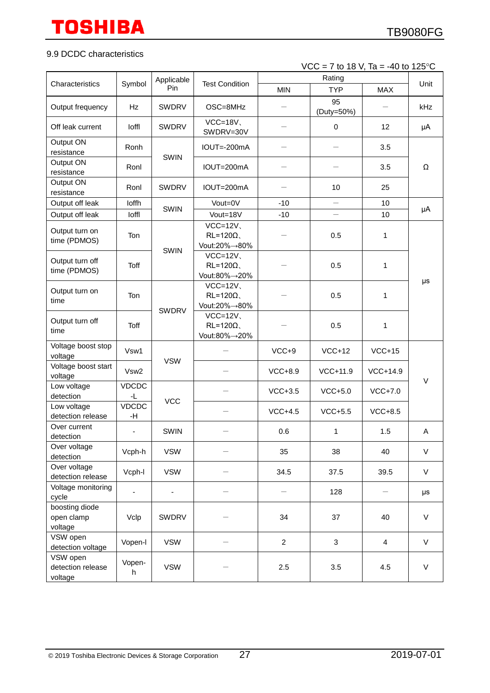#### 9.9 DCDC characteristics

#### VCC = 7 to 18 V, Ta = -40 to 125 °C

|                                          | Applicable               |              |                                               |                |                  |                |        |  |
|------------------------------------------|--------------------------|--------------|-----------------------------------------------|----------------|------------------|----------------|--------|--|
| Characteristics                          | Symbol                   | Pin          | <b>Test Condition</b>                         | <b>MIN</b>     | <b>TYP</b>       | <b>MAX</b>     | Unit   |  |
| Output frequency                         | Hz                       | <b>SWDRV</b> | OSC=8MHz                                      |                | 95<br>(Duty=50%) |                | kHz    |  |
| Off leak current                         | loffl                    | <b>SWDRV</b> | $VCC=18V$<br>SWDRV=30V                        |                | $\mathbf 0$      | 12             | μA     |  |
| Output ON<br>resistance                  | Ronh                     | <b>SWIN</b>  | IOUT=-200mA                                   |                |                  | 3.5            |        |  |
| Output ON<br>resistance                  | Ronl                     |              | IOUT=200mA                                    |                |                  | 3.5            | Ω      |  |
| Output ON<br>resistance                  | Ronl                     | <b>SWDRV</b> | IOUT=200mA                                    |                | 10               | 25             |        |  |
| Output off leak                          | <b>loffh</b>             |              | Vout=0V                                       | $-10$          | $\equiv$         | 10             |        |  |
| Output off leak                          | loffl                    | <b>SWIN</b>  | Vout=18V                                      | $-10$          |                  | $10$           | μA     |  |
| Output turn on<br>time (PDMOS)           | Ton                      | <b>SWIN</b>  | $VCC=12V$<br>$RL = 120\Omega$<br>Vout:20%→80% |                | 0.5              | $\mathbf{1}$   |        |  |
| Output turn off<br>time (PDMOS)          | <b>Toff</b>              |              | $VCC=12V$<br>$RL = 120\Omega$<br>Vout:80%→20% |                | 0.5              | 1              | μs     |  |
| Output turn on<br>time                   | Ton                      | <b>SWDRV</b> | $VCC=12V$<br>$RL = 120\Omega$<br>Vout:20%→80% |                | 0.5              | $\mathbf{1}$   |        |  |
| Output turn off<br>time                  | Toff                     |              | $VCC=12V$<br>$RL = 120\Omega$<br>Vout:80%→20% |                | 0.5              | 1              |        |  |
| Voltage boost stop<br>voltage            | Vsw1                     |              |                                               | $VCC+9$        | $VCC+12$         | $VCC+15$       |        |  |
| Voltage boost start<br>voltage           | Vsw <sub>2</sub>         | <b>VSW</b>   |                                               | $VCC+8.9$      | VCC+11.9         | VCC+14.9       |        |  |
| Low voltage<br>detection                 | <b>VDCDC</b><br>-L       |              |                                               | $VCC+3.5$      | $VCC+5.0$        | $VCC+7.0$      | $\vee$ |  |
| Low voltage<br>detection release         | <b>VDCDC</b><br>-H       | <b>VCC</b>   |                                               | $VCC+4.5$      | $VCC+5.5$        | $VCC+8.5$      |        |  |
| Over current<br>detection                | $\blacksquare$           | <b>SWIN</b>  |                                               | 0.6            | 1                | 1.5            | A      |  |
| Over voltage<br>detection                | Vcph-h                   | <b>VSW</b>   |                                               | 35             | 38               | 40             | $\vee$ |  |
| Over voltage<br>detection release        | Vcph-I                   | <b>VSW</b>   |                                               | 34.5           | 37.5             | 39.5           | $\vee$ |  |
| Voltage monitoring<br>cycle              | $\overline{\phantom{a}}$ | -            |                                               | —              | 128              |                | μs     |  |
| boosting diode<br>open clamp<br>voltage  | Vclp                     | <b>SWDRV</b> |                                               | 34             | 37               | 40             | $\vee$ |  |
| VSW open<br>detection voltage            | Vopen-I                  | <b>VSW</b>   |                                               | $\overline{2}$ | 3                | $\overline{4}$ | $\vee$ |  |
| VSW open<br>detection release<br>voltage | Vopen-<br>h              | <b>VSW</b>   |                                               | 2.5            | 3.5              | 4.5            | V      |  |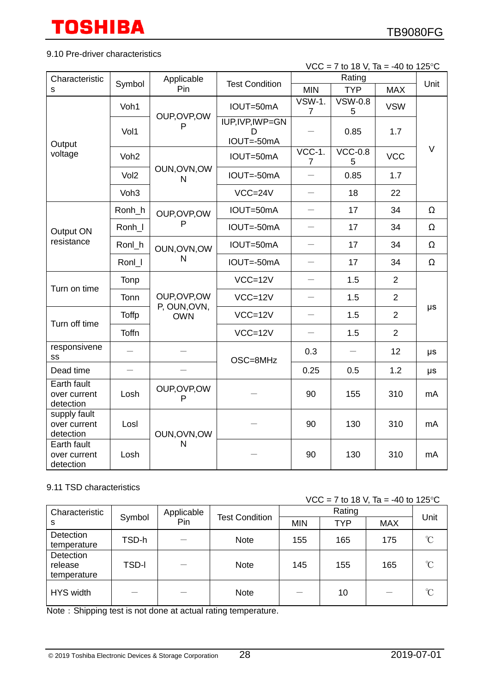### 9.10 Pre-driver characteristics

| Characteristic                            |                  | Applicable                   | <b>Test Condition</b>                 |                                 | Rating              |                |         |
|-------------------------------------------|------------------|------------------------------|---------------------------------------|---------------------------------|---------------------|----------------|---------|
| S                                         | Symbol           | Pin                          |                                       | <b>MIN</b>                      | <b>TYP</b>          | <b>MAX</b>     | Unit    |
|                                           | Voh1             | OUP, OVP, OW                 | IOUT=50mA                             | <b>VSW-1.</b><br>$\overline{7}$ | <b>VSW-0.8</b><br>5 | <b>VSW</b>     |         |
| Output                                    | Vol1             | P                            | <b>IUP, IVP, IWP=GN</b><br>IOUT=-50mA |                                 | 0.85                | 1.7            |         |
| voltage                                   | Voh <sub>2</sub> |                              | IOUT=50mA                             | VCC-1.<br>7                     | $VCC-0.8$<br>5      | <b>VCC</b>     | $\vee$  |
|                                           | Vol <sub>2</sub> | OUN, OVN, OW<br>N            | IOUT=-50mA                            | $\overline{\phantom{0}}$        | 0.85                | 1.7            |         |
|                                           | Voh <sub>3</sub> |                              | $VCC = 24V$                           | $\overline{\phantom{0}}$        | 18                  | 22             |         |
|                                           | Ronh_h           | OUP, OVP, OW                 | IOUT=50mA                             |                                 | 17                  | 34             | Ω       |
| Output ON                                 | Ronh_I           | P                            | IOUT=-50mA                            | $\overline{\phantom{0}}$        | 17                  | 34             | Ω       |
| resistance                                | Ronl_h           | OUN, OVN, OW                 | IOUT=50mA                             | $\overline{\phantom{0}}$        | 17                  | 34             | Ω       |
|                                           | Ronl_I           | N                            | IOUT=-50mA                            |                                 | 17                  | 34             | Ω       |
| Turn on time                              | Tonp             |                              | $VCC=12V$                             |                                 | 1.5                 | $\overline{2}$ |         |
|                                           | Tonn             | OUP, OVP, OW<br>P, OUN, OVN, | $VCC=12V$                             |                                 | 1.5                 | $\overline{2}$ | $\mu s$ |
| Turn off time                             | Toffp            | <b>OWN</b>                   | $VCC=12V$                             |                                 | 1.5                 | $\overline{2}$ |         |
|                                           | Toffn            |                              | $VCC=12V$                             | $\qquad \qquad$                 | 1.5                 | $\overline{2}$ |         |
| responsivene<br>SS                        |                  |                              | OSC=8MHz                              | 0.3                             |                     | 12             | μs      |
| Dead time                                 |                  |                              |                                       | 0.25                            | 0.5                 | 1.2            | $\mu s$ |
| Earth fault<br>over current<br>detection  | Losh             | OUP, OVP, OW<br>P            |                                       | 90                              | 155                 | 310            | mA      |
| supply fault<br>over current<br>detection | Losl             | OUN, OVN, OW                 |                                       | 90                              | 130                 | 310            | mA      |
| Earth fault<br>over current<br>detection  | Losh             | N                            |                                       | 90                              | 130                 | 310            | mA      |

### 9.11 TSD characteristics

VCC = 7 to 18 V, Ta = -40 to 125 °C

| Characteristic                      | Symbol       | Applicable | <b>Test Condition</b> |            | Unit |            |          |
|-------------------------------------|--------------|------------|-----------------------|------------|------|------------|----------|
|                                     |              | Pin        |                       | <b>MIN</b> | TYP  | <b>MAX</b> |          |
| Detection<br>temperature            | TSD-h        |            | <b>Note</b>           | 155        | 165  | 175        | $\gamma$ |
| Detection<br>release<br>temperature | <b>TSD-I</b> |            | <b>Note</b>           | 145        | 155  | 165        | n        |
| <b>HYS width</b>                    |              |            | <b>Note</b>           |            | 10   |            | $\gamma$ |

Note: Shipping test is not done at actual rating temperature.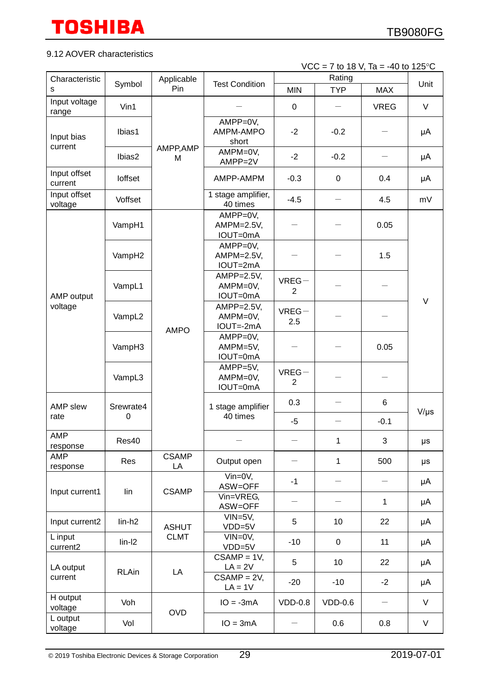### 9.12 AOVER characteristics

| $VCC = 7$ to 18 V, Ta = -40 to 125 °C |  |
|---------------------------------------|--|
|---------------------------------------|--|

| Characteristic          |                  | Applicable         | <b>Test Condition</b>               | Rating         |              |                   |           |
|-------------------------|------------------|--------------------|-------------------------------------|----------------|--------------|-------------------|-----------|
| s                       | Symbol           | Pin                |                                     | <b>MIN</b>     | <b>TYP</b>   | <b>MAX</b>        | Unit      |
| Input voltage<br>range  | Vin1             |                    |                                     | $\mathbf 0$    |              | <b>VREG</b>       | V         |
| Input bias<br>current   | Ibias1           |                    | AMPP=0V,<br>AMPM-AMPO<br>short      | $-2$           | $-0.2$       |                   | μA        |
|                         | Ibias2           | AMPP, AMP<br>M     | AMPM=0V,<br>AMPP=2V                 | $-2$           | $-0.2$       |                   | μA        |
| Input offset<br>current | loffset          |                    | AMPP-AMPM                           | $-0.3$         | $\mathbf 0$  | 0.4               | μA        |
| Input offset<br>voltage | Voffset          |                    | 1 stage amplifier,<br>40 times      | $-4.5$         |              | 4.5               | mV        |
|                         | VampH1           |                    | AMPP=0V,<br>AMPM=2.5V,<br>IOUT=0mA  |                |              | 0.05              | V         |
|                         | VampH2           |                    | AMPP=0V,<br>AMPM=2.5V,<br>IOUT=2mA  |                |              | 1.5               |           |
| AMP output              | VampL1           | <b>AMPO</b>        | AMPP=2.5V,<br>AMPM=0V,<br>IOUT=0mA  | $VREG-$<br>2   |              |                   |           |
| voltage                 | VampL2           |                    | AMPP=2.5V,<br>AMPM=0V,<br>IOUT=-2mA | $VREG-$<br>2.5 |              |                   |           |
|                         | VampH3           |                    | AMPP=0V,<br>AMPM=5V,<br>IOUT=0mA    |                |              | 0.05              |           |
|                         | VampL3           |                    | AMPP=5V,<br>AMPM=0V,<br>IOUT=0mA    | $VREG-$<br>2   |              |                   |           |
| AMP slew                | Srewrate4        |                    | 1 stage amplifier                   | 0.3            |              | 6                 | $V/\mu s$ |
| rate                    | $\boldsymbol{0}$ |                    | 40 times                            | $-5$           |              | $-0.1$            |           |
| AMP<br>response         | Res40            |                    |                                     |                | $\mathbf 1$  | 3                 | $\mu s$   |
| <b>AMP</b><br>response  | Res              | <b>CSAMP</b><br>LA | Output open                         |                | $\mathbf{1}$ | 500               | $\mu s$   |
|                         | lin              | <b>CSAMP</b>       | Vin=0V,<br>ASW=OFF                  | $-1$           |              |                   | μA        |
| Input current1          |                  |                    | Vin=VREG,<br>ASW=OFF                |                |              | $\mathbf{1}$      | μA        |
| Input current2          | $lin-h2$         | <b>ASHUT</b>       | $VIN = 5V$ ,<br>VDD=5V              | 5              | 10           | 22                | μA        |
| L input<br>current2     | $lin-I2$         | <b>CLMT</b>        | $VIN = OV,$<br>VDD=5V               | $-10$          | 0            | 11                | μA        |
| LA output               | <b>RLAin</b>     | LA                 | $CSAMP = 1V,$<br>$LA = 2V$          | 5              | 10           | 22                | μA        |
| current                 |                  |                    | $CSAMP = 2V,$<br>$LA = 1V$          | $-20$          | $-10$        | $-2$              | μA        |
| H output<br>voltage     | Voh              | <b>OVD</b>         | $IO = -3mA$                         | $VDD-0.8$      | $VDD-0.6$    | $\qquad \qquad -$ | V         |
| L output<br>voltage     | Vol              |                    | $IO = 3mA$                          |                | 0.6          | 0.8               | V         |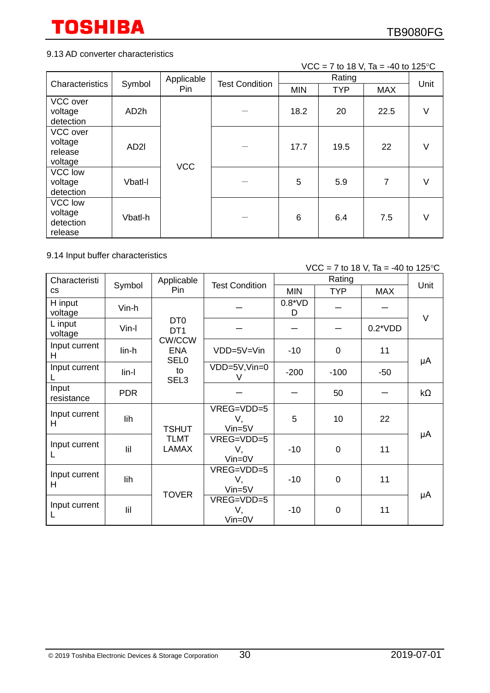## 9.13 AD converter characteristics

|  | $VCC = 7$ to 18 V, Ta = -40 to 125 °C |
|--|---------------------------------------|
|--|---------------------------------------|

| Characteristics                                   | Symbol            | Applicable | <b>Test Condition</b> | Rating     |            |            | Unit |
|---------------------------------------------------|-------------------|------------|-----------------------|------------|------------|------------|------|
|                                                   |                   | Pin        |                       | <b>MIN</b> | <b>TYP</b> | <b>MAX</b> |      |
| VCC over<br>voltage<br>detection                  | AD <sub>2</sub> h |            |                       | 18.2       | 20         | 22.5       | V    |
| VCC over<br>voltage<br>release<br>voltage         | AD <sub>2</sub> I | <b>VCC</b> |                       | 17.7       | 19.5       | 22         | V    |
| <b>VCC low</b><br>voltage<br>detection            | Vbatl-l           |            |                       | 5          | 5.9        | 7          | V    |
| <b>VCC low</b><br>voltage<br>detection<br>release | Vbatl-h           |            |                       | 6          | 6.4        | 7.5        | V    |

### 9.14 Input buffer characteristics

 $VCC = 7$  to 18 V, Ta = -40 to 125 °C

| Characteristi       |            | Applicable<br><b>Pin</b>                                             | <b>Test Condition</b>            | Rating        |                |            |           |
|---------------------|------------|----------------------------------------------------------------------|----------------------------------|---------------|----------------|------------|-----------|
| <b>CS</b>           | Symbol     |                                                                      |                                  | <b>MIN</b>    | <b>TYP</b>     | <b>MAX</b> | Unit      |
| H input<br>voltage  | Vin-h      |                                                                      |                                  | $0.8*VD$<br>D |                |            | $\vee$    |
| L input<br>voltage  | Vin-I      | D <sub>T</sub> <sub>0</sub><br>DT <sub>1</sub>                       |                                  |               |                | $0.2*VDD$  |           |
| Input current<br>H  | lin-h      | <b>CW/CCW</b><br><b>ENA</b><br><b>SEL0</b><br>to<br>SEL <sub>3</sub> | VDD=5V=Vin                       | $-10$         | $\mathbf 0$    | 11         | μA        |
| Input current       | lin-l      |                                                                      | VDD=5V, Vin=0<br>V               | $-200$        | $-100$         | $-50$      |           |
| Input<br>resistance | <b>PDR</b> |                                                                      |                                  |               | 50             |            | $k\Omega$ |
| Input current<br>н  | lih        | <b>TSHUT</b><br><b>TLMT</b><br><b>LAMAX</b>                          | VREG=VDD=5<br>V,<br>$Vin=5V$     | 5             | 10             | 22         |           |
| Input current<br>L  | lil        |                                                                      | VREG=VDD=5<br>V,<br>$V$ in=0 $V$ | $-10$         | $\overline{0}$ | 11         | μA        |
| Input current<br>н  | lih        | <b>TOVER</b>                                                         | VREG=VDD=5<br>V,<br>$Vin=5V$     | $-10$         | $\mathbf 0$    | 11         |           |
| Input current<br>L  | lil        |                                                                      | VREG=VDD=5<br>V,<br>$V$ in=0 $V$ | $-10$         | $\overline{0}$ | 11         | μA        |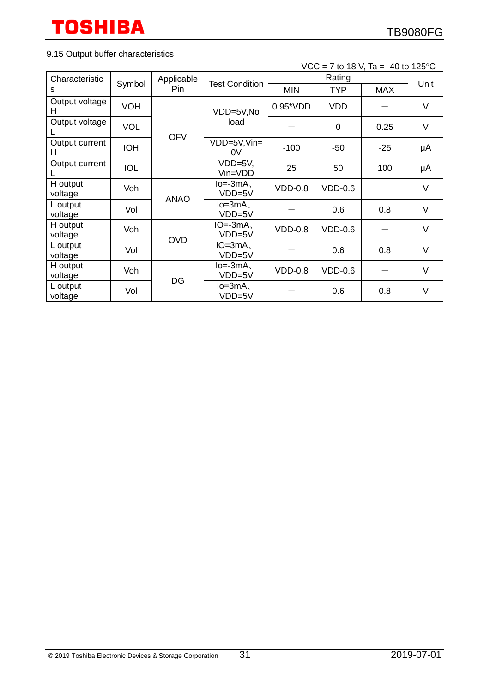### 9.15 Output buffer characteristics

| $VCC = 7$ to 18 V, Ta = -40 to 125 °C |  |  |
|---------------------------------------|--|--|
|---------------------------------------|--|--|

| Characteristic      |            | Applicable  | <b>Test Condition</b><br>Pin. | Rating      |             |            |        |
|---------------------|------------|-------------|-------------------------------|-------------|-------------|------------|--------|
| s                   | Symbol     |             |                               | <b>MIN</b>  | <b>TYP</b>  | <b>MAX</b> | Unit   |
| Output voltage<br>н | <b>VOH</b> |             | VDD=5V,No<br>load             | $0.95^*VDD$ | <b>VDD</b>  |            | $\vee$ |
| Output voltage      | <b>VOL</b> | <b>OFV</b>  |                               |             | $\mathbf 0$ | 0.25       | V      |
| Output current<br>н | <b>IOH</b> |             | VDD=5V,Vin=<br>0V             | $-100$      | -50         | $-25$      | μA     |
| Output current      | <b>IOL</b> |             | $VDD=5V$ ,<br>Vin=VDD         | 25          | 50          | 100        | μA     |
| H output<br>voltage | Voh        | <b>ANAO</b> | lo=-3mA、<br>VDD=5V            | $VDD-0.8$   | $VDD-0.6$   |            | V      |
| L output<br>voltage | Vol        |             | $lo = 3mA$<br>VDD=5V          |             | 0.6         | 0.8        | $\vee$ |
| H output<br>voltage | Voh        | <b>OVD</b>  | $IO = -3mA$<br>VDD=5V         | $VDD-0.8$   | $VDD-0.6$   |            | V      |
| L output<br>voltage | Vol        |             | $IO=3mA$<br>VDD=5V            |             | 0.6         | 0.8        | V      |
| H output<br>voltage | Voh        | DG          | $Io = -3mA$<br>VDD=5V         | $VDD-0.8$   | $VDD-0.6$   |            | V      |
| L output<br>voltage | Vol        |             | $lo = 3mA$<br>VDD=5V          |             | 0.6         | 0.8        | $\vee$ |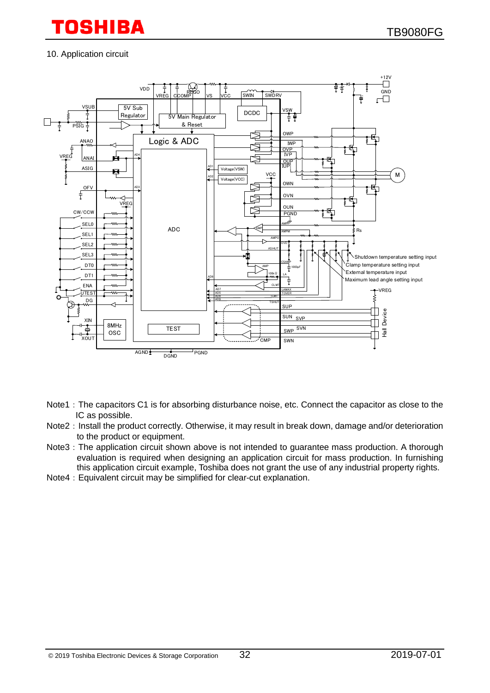### 10. Application circuit



- Note1: The capacitors C1 is for absorbing disturbance noise, etc. Connect the capacitor as close to the IC as possible.
- Note2: Install the product correctly. Otherwise, it may result in break down, damage and/or deterioration to the product or equipment.
- Note3: The application circuit shown above is not intended to guarantee mass production. A thorough evaluation is required when designing an application circuit for mass production. In furnishing this application circuit example, Toshiba does not grant the use of any industrial property rights.
- Note4: Equivalent circuit may be simplified for clear-cut explanation.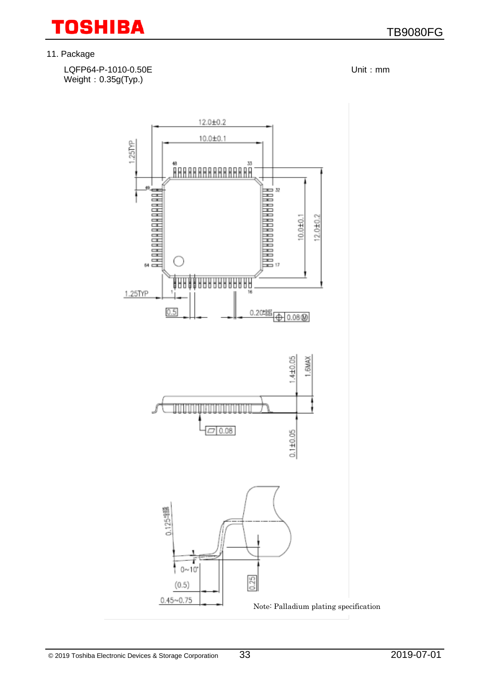TB9080FG

11. Package

 LQFP64-P-1010-0.50E Unit:mm Weight: 0.35g(Typ.)

TOSHIBA

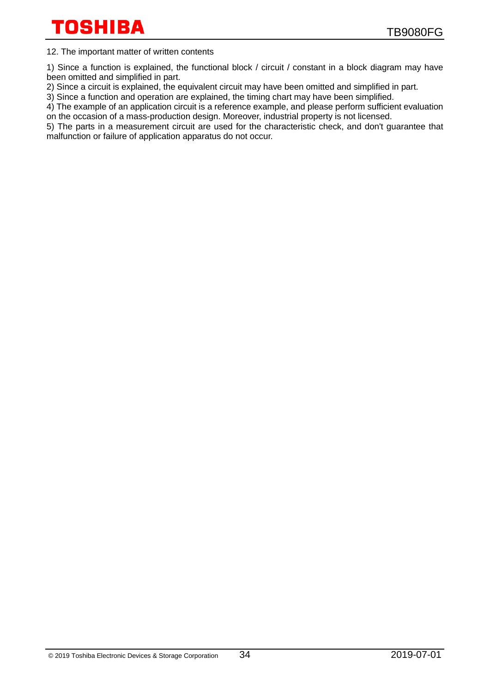12. The important matter of written contents

1) Since a function is explained, the functional block / circuit / constant in a block diagram may have been omitted and simplified in part.

2) Since a circuit is explained, the equivalent circuit may have been omitted and simplified in part.

3) Since a function and operation are explained, the timing chart may have been simplified.

4) The example of an application circuit is a reference example, and please perform sufficient evaluation on the occasion of a mass-production design. Moreover, industrial property is not licensed.

5) The parts in a measurement circuit are used for the characteristic check, and don't guarantee that malfunction or failure of application apparatus do not occur.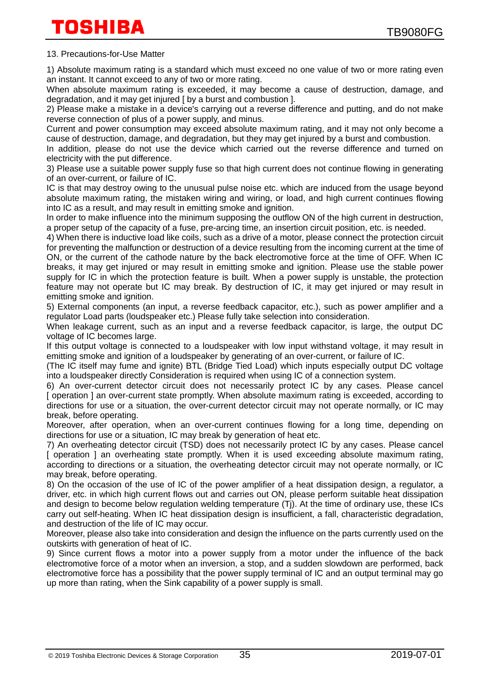### 13. Precautions-for-Use Matter

1) Absolute maximum rating is a standard which must exceed no one value of two or more rating even an instant. It cannot exceed to any of two or more rating.

When absolute maximum rating is exceeded, it may become a cause of destruction, damage, and degradation, and it may get injured [ by a burst and combustion ].

2) Please make a mistake in a device's carrying out a reverse difference and putting, and do not make reverse connection of plus of a power supply, and minus.

Current and power consumption may exceed absolute maximum rating, and it may not only become a cause of destruction, damage, and degradation, but they may get injured by a burst and combustion.

In addition, please do not use the device which carried out the reverse difference and turned on electricity with the put difference.

3) Please use a suitable power supply fuse so that high current does not continue flowing in generating of an over-current, or failure of IC.

IC is that may destroy owing to the unusual pulse noise etc. which are induced from the usage beyond absolute maximum rating, the mistaken wiring and wiring, or load, and high current continues flowing into IC as a result, and may result in emitting smoke and ignition.

In order to make influence into the minimum supposing the outflow ON of the high current in destruction, a proper setup of the capacity of a fuse, pre-arcing time, an insertion circuit position, etc. is needed.

4) When there is inductive load like coils, such as a drive of a motor, please connect the protection circuit for preventing the malfunction or destruction of a device resulting from the incoming current at the time of ON, or the current of the cathode nature by the back electromotive force at the time of OFF. When IC breaks, it may get injured or may result in emitting smoke and ignition. Please use the stable power supply for IC in which the protection feature is built. When a power supply is unstable, the protection feature may not operate but IC may break. By destruction of IC, it may get injured or may result in emitting smoke and ignition.

5) External components (an input, a reverse feedback capacitor, etc.), such as power amplifier and a regulator Load parts (loudspeaker etc.) Please fully take selection into consideration.

When leakage current, such as an input and a reverse feedback capacitor, is large, the output DC voltage of IC becomes large.

If this output voltage is connected to a loudspeaker with low input withstand voltage, it may result in emitting smoke and ignition of a loudspeaker by generating of an over-current, or failure of IC.

(The IC itself may fume and ignite) BTL (Bridge Tied Load) which inputs especially output DC voltage into a loudspeaker directly Consideration is required when using IC of a connection system.

6) An over-current detector circuit does not necessarily protect IC by any cases. Please cancel [ operation ] an over-current state promptly. When absolute maximum rating is exceeded, according to directions for use or a situation, the over-current detector circuit may not operate normally, or IC may break, before operating.

Moreover, after operation, when an over-current continues flowing for a long time, depending on directions for use or a situation, IC may break by generation of heat etc.

7) An overheating detector circuit (TSD) does not necessarily protect IC by any cases. Please cancel [ operation ] an overheating state promptly. When it is used exceeding absolute maximum rating, according to directions or a situation, the overheating detector circuit may not operate normally, or IC may break, before operating.

8) On the occasion of the use of IC of the power amplifier of a heat dissipation design, a regulator, a driver, etc. in which high current flows out and carries out ON, please perform suitable heat dissipation and design to become below regulation welding temperature (Tj). At the time of ordinary use, these ICs carry out self-heating. When IC heat dissipation design is insufficient, a fall, characteristic degradation, and destruction of the life of IC may occur.

Moreover, please also take into consideration and design the influence on the parts currently used on the outskirts with generation of heat of IC.

9) Since current flows a motor into a power supply from a motor under the influence of the back electromotive force of a motor when an inversion, a stop, and a sudden slowdown are performed, back electromotive force has a possibility that the power supply terminal of IC and an output terminal may go up more than rating, when the Sink capability of a power supply is small.